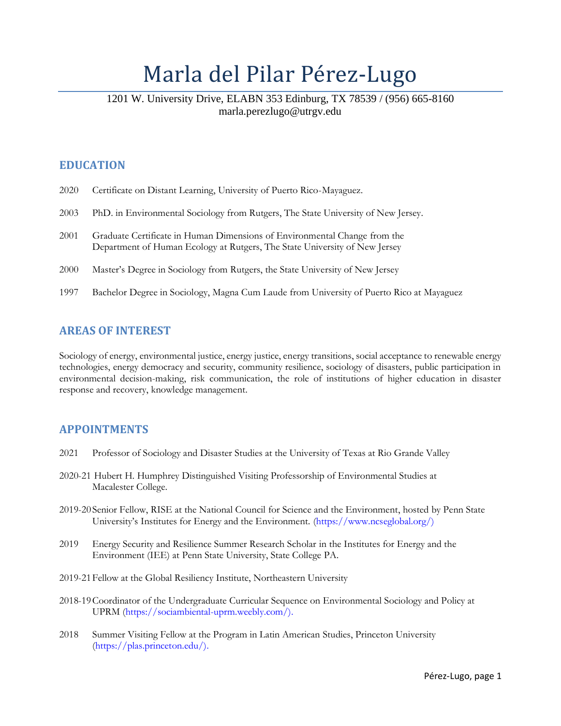# Marla del Pilar Pérez-Lugo

# 1201 W. University Drive, ELABN 353 Edinburg, TX 78539 / (956) 665-8160 marla.perezlugo@utrgv.edu

# **EDUCATION**

|  |  |  | 2020 Certificate on Distant Learning, University of Puerto Rico-Mayaguez. |
|--|--|--|---------------------------------------------------------------------------|
|  |  |  |                                                                           |

- 2003 PhD. in Environmental Sociology from Rutgers, The State University of New Jersey.
- 2001 Graduate Certificate in Human Dimensions of Environmental Change from the Department of Human Ecology at Rutgers, The State University of New Jersey
- 2000 Master's Degree in Sociology from Rutgers, the State University of New Jersey
- 1997 Bachelor Degree in Sociology, Magna Cum Laude from University of Puerto Rico at Mayaguez

### **AREAS OF INTEREST**

Sociology of energy, environmental justice, energy justice, energy transitions, social acceptance to renewable energy technologies, energy democracy and security, community resilience, sociology of disasters, public participation in environmental decision-making, risk communication, the role of institutions of higher education in disaster response and recovery, knowledge management.

# **APPOINTMENTS**

- 2021 Professor of Sociology and Disaster Studies at the University of Texas at Rio Grande Valley
- 2020-21 Hubert H. Humphrey Distinguished Visiting Professorship of Environmental Studies at Macalester College.
- 2019-20 Senior Fellow, RISE at the National Council for Science and the Environment, hosted by Penn State University's Institutes for Energy and the Environment. [\(https://www.ncseglobal.org/\)](https://www.ncseglobal.org/))
- 2019 Energy Security and Resilience Summer Research Scholar in the Institutes for Energy and the Environment (IEE) at Penn State University, State College PA.
- 2019-21Fellow at the Global Resiliency Institute, Northeastern University
- 2018-19Coordinator of the Undergraduate Curricular Sequence on Environmental Sociology and Policy at UPRM [\(https://sociambiental-uprm.weebly.com/\).](https://sociambiental-uprm.weebly.com/))
- 2018 Summer Visiting Fellow at the Program in Latin American Studies, Princeton University [\(https://plas.princeton.edu/\).](https://plas.princeton.edu/))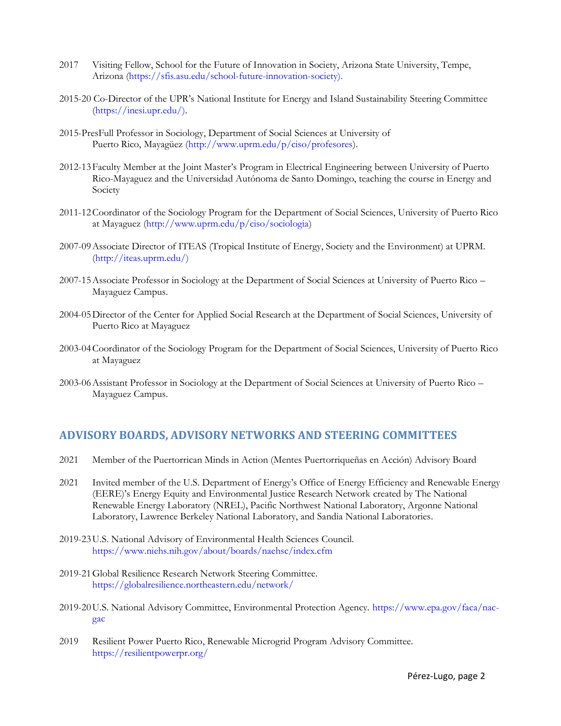- 2017 Visiting Fellow, School for the Future of Innovation in Society, Arizona State University, Tempe, Arizona [\(https://sfis.asu.edu/school-future-innovation-society\).](https://sfis.asu.edu/school-future-innovation-society))
- 2015-20 Co-Director of the UPR's National Institute for Energy and Island Sustainability Steering Committee [\(https://inesi.upr.edu/\)](https://inesi.upr.edu/).
- 2015-PresFull Professor in Sociology, Department of Social Sciences at University of Puerto Rico, Mayagüez [\(http://www.uprm.edu/p/ciso/profesores\)](http://www.uprm.edu/p/ciso/profesores).
- 2012-13Faculty Member at the Joint Master's Program in Electrical Engineering between University of Puerto Rico-Mayaguez and the Universidad Autónoma de Santo Domingo, teaching the course in Energy and Society
- 2011-12Coordinator of the Sociology Program for the Department of Social Sciences, University of Puerto Rico at Mayaguez [\(http://www.uprm.edu/p/ciso/sociologia\)](http://www.uprm.edu/p/ciso/sociologia)
- 2007-09Associate Director of ITEAS (Tropical Institute of Energy, Society and the Environment) at UPRM. [\(http://iteas.uprm.edu/\)](http://iteas.uprm.edu/))
- 2007-15Associate Professor in Sociology at the Department of Social Sciences at University of Puerto Rico Mayaguez Campus.
- 2004-05Director of the Center for Applied Social Research at the Department of Social Sciences, University of Puerto Rico at Mayaguez
- 2003-04Coordinator of the Sociology Program for the Department of Social Sciences, University of Puerto Rico at Mayaguez
- 2003-06Assistant Professor in Sociology at the Department of Social Sciences at University of Puerto Rico Mayaguez Campus.

# **ADVISORY BOARDS, ADVISORY NETWORKS AND STEERING COMMITTEES**

- 2021 Member of the Puertorrican Minds in Action (Mentes Puertorriqueñas en Acción) Advisory Board
- 2021 Invited member of the U.S. Department of Energy's Office of Energy Efficiency and Renewable Energy (EERE)'s Energy Equity and Environmental Justice Research Network created by The National Renewable Energy Laboratory (NREL), Pacific Northwest National Laboratory, Argonne National Laboratory, Lawrence Berkeley National Laboratory, and Sandia National Laboratories.
- 2019-23U.S. National Advisory of Environmental Health Sciences Council. <https://www.niehs.nih.gov/about/boards/naehsc/index.cfm>
- 2019-21Global Resilience Research Network Steering Committee. <https://globalresilience.northeastern.edu/network/>
- 2019-20U.S. National Advisory Committee, Environmental Protection Agency. [https://www.epa.gov/faca/nac](https://www.epa.gov/faca/nac-gac)[gac](https://www.epa.gov/faca/nac-gac)
- 2019 Resilient Power Puerto Rico, Renewable Microgrid Program Advisory Committee. <https://resilientpowerpr.org/>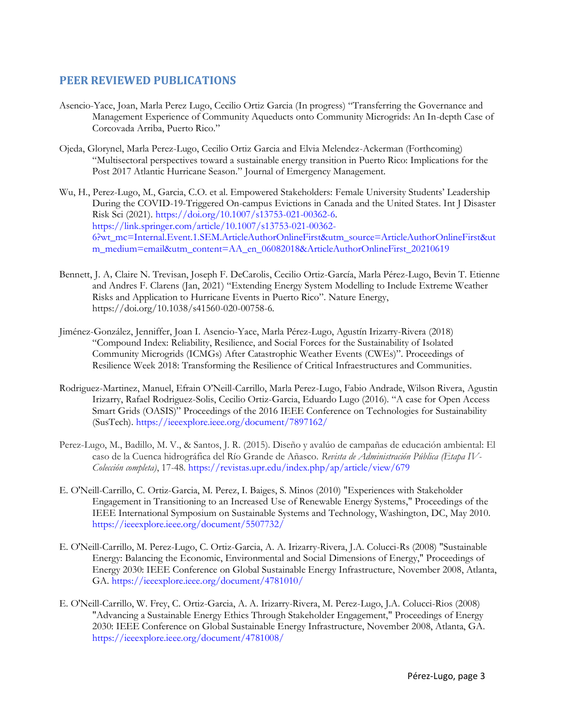### **PEER REVIEWED PUBLICATIONS**

- Asencio-Yace, Joan, Marla Perez Lugo, Cecilio Ortiz Garcia (In progress) "Transferring the Governance and Management Experience of Community Aqueducts onto Community Microgrids: An In-depth Case of Corcovada Arriba, Puerto Rico."
- Ojeda, Glorynel, Marla Perez-Lugo, Cecilio Ortiz Garcia and Elvia Melendez-Ackerman (Forthcoming) "Multisectoral perspectives toward a sustainable energy transition in Puerto Rico: Implications for the Post 2017 Atlantic Hurricane Season." Journal of Emergency Management.
- Wu, H., Perez-Lugo, M., Garcia, C.O. et al. Empowered Stakeholders: Female University Students' Leadership During the COVID-19-Triggered On-campus Evictions in Canada and the United States. Int J Disaster Risk Sci (2021). [https://doi.org/10.1007/s13753-021-00362-6.](https://doi.org/10.1007/s13753-021-00362-6) [https://link.springer.com/article/10.1007/s13753-021-00362-](https://link.springer.com/article/10.1007/s13753-021-00362-6?wt_mc=Internal.Event.1.SEM.ArticleAuthorOnlineFirst&utm_source=ArticleAuthorOnlineFirst&utm_medium=email&utm_content=AA_en_06082018&ArticleAuthorOnlineFirst_20210619) [6?wt\\_mc=Internal.Event.1.SEM.ArticleAuthorOnlineFirst&utm\\_source=ArticleAuthorOnlineFirst&ut](https://link.springer.com/article/10.1007/s13753-021-00362-6?wt_mc=Internal.Event.1.SEM.ArticleAuthorOnlineFirst&utm_source=ArticleAuthorOnlineFirst&utm_medium=email&utm_content=AA_en_06082018&ArticleAuthorOnlineFirst_20210619) [m\\_medium=email&utm\\_content=AA\\_en\\_06082018&ArticleAuthorOnlineFirst\\_20210619](https://link.springer.com/article/10.1007/s13753-021-00362-6?wt_mc=Internal.Event.1.SEM.ArticleAuthorOnlineFirst&utm_source=ArticleAuthorOnlineFirst&utm_medium=email&utm_content=AA_en_06082018&ArticleAuthorOnlineFirst_20210619)
- Bennett, J. A,Claire N. Trevisan, Joseph F. DeCarolis, Cecilio Ortiz-García, Marla Pérez-Lugo, Bevin T. Etienne and Andres F. Clarens (Jan, 2021) "Extending Energy System Modelling to Include Extreme Weather Risks and Application to Hurricane Events in Puerto Rico". Nature Energy, https://doi.org/10.1038/s41560-020-00758-6.
- Jiménez-González, Jenniffer, Joan I. Asencio-Yace, Marla Pérez-Lugo, Agustín Irizarry-Rivera (2018) "Compound Index: Reliability, Resilience, and Social Forces for the Sustainability of Isolated Community Microgrids (ICMGs) After Catastrophic Weather Events (CWEs)". Proceedings of Resilience Week 2018: Transforming the Resilience of Critical Infraestructures and Communities.
- Rodriguez-Martinez, Manuel, Efrain O'Neill-Carrillo, Marla Perez-Lugo, Fabio Andrade, Wilson Rivera, Agustin Irizarry, Rafael Rodriguez-Solis, Cecilio Ortiz-Garcia, Eduardo Lugo (2016). "A case for Open Access Smart Grids (OASIS)" Proceedings of the 2016 IEEE Conference on Technologies for Sustainability (SusTech).<https://ieeexplore.ieee.org/document/7897162/>
- Perez-Lugo, M., Badillo, M. V., & Santos, J. R. (2015). Diseño y avalúo de campañas de educación ambiental: El caso de la Cuenca hidrográfica del Río Grande de Añasco. *Revista de Administración Pública (Etapa IV-Colección completa)*, 17-48. <https://revistas.upr.edu/index.php/ap/article/view/679>
- E. O'Neill-Carrillo, C. Ortiz-Garcia, M. Perez, I. Baiges, S. Minos (2010) "Experiences with Stakeholder Engagement in Transitioning to an Increased Use of Renewable Energy Systems," Proceedings of the IEEE International Symposium on Sustainable Systems and Technology, Washington, DC, May 2010. <https://ieeexplore.ieee.org/document/5507732/>
- E. O'Neill-Carrillo, M. Perez-Lugo, C. Ortiz-Garcia, A. A. Irizarry-Rivera, J.A. Colucci-Rs (2008) "Sustainable Energy: Balancing the Economic, Environmental and Social Dimensions of Energy," Proceedings of Energy 2030: IEEE Conference on Global Sustainable Energy Infrastructure, November 2008, Atlanta, GA. <https://ieeexplore.ieee.org/document/4781010/>
- E. O'Neill-Carrillo, W. Frey, C. Ortiz-Garcia, A. A. Irizarry-Rivera, M. Perez-Lugo, J.A. Colucci-Rios (2008) "Advancing a Sustainable Energy Ethics Through Stakeholder Engagement," Proceedings of Energy 2030: IEEE Conference on Global Sustainable Energy Infrastructure, November 2008, Atlanta, GA. <https://ieeexplore.ieee.org/document/4781008/>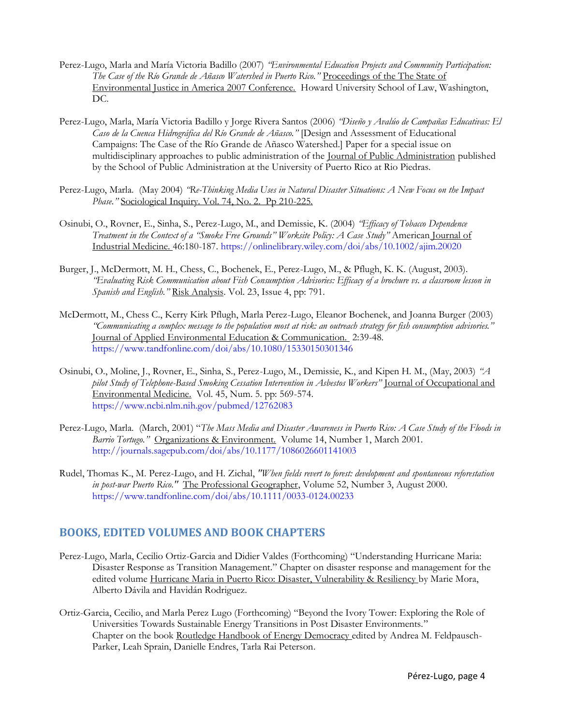- Perez-Lugo, Marla and María Victoria Badillo (2007) *"Environmental Education Projects and Community Participation: The Case of the Río Grande de Añasco Watershed in Puerto Rico."* Proceedings of the The State of Environmental Justice in America 2007 Conference. Howard University School of Law, Washington, DC.
- Perez-Lugo, Marla, María Victoria Badillo y Jorge Rivera Santos (2006) *"Diseño y Avalúo de Campañas Educativas: El Caso de la Cuenca Hidrográfica del Río Grande de Añasco."* [Design and Assessment of Educational Campaigns: The Case of the Río Grande de Añasco Watershed.] Paper for a special issue on multidisciplinary approaches to public administration of the Journal of Public Administration published by the School of Public Administration at the University of Puerto Rico at Rio Piedras.
- Perez-Lugo, Marla. (May 2004) *"Re-Thinking Media Uses in Natural Disaster Situations: A New Focus on the Impact Phase."* Sociological Inquiry. Vol. 74, No. 2. Pp 210-225.
- Osinubi, O., Rovner, E., Sinha, S., Perez-Lugo, M., and Demissie, K. (2004) *"Efficacy of Tobacco Dependence Treatment in the Context of a "Smoke Free Grounds" Worksite Policy: A Case Study"* American Journal of Industrial Medicine. 46:180-187. <https://onlinelibrary.wiley.com/doi/abs/10.1002/ajim.20020>
- Burger, J., McDermott, M. H., Chess, C., Bochenek, E., Perez-Lugo, M., & Pflugh, K. K. (August, 2003). *"Evaluating Risk Communication about Fish Consumption Advisories: Efficacy of a brochure vs. a classroom lesson in Spanish and English."* Risk Analysis. Vol. 23, Issue 4, pp: 791.
- McDermott, M., Chess C., Kerry Kirk Pflugh, Marla Perez-Lugo, Eleanor Bochenek, and Joanna Burger (2003) *"Communicating a complex message to the population most at risk: an outreach strategy for fish consumption advisories."*  Journal of Applied Environmental Education & Communication. 2:39-48. <https://www.tandfonline.com/doi/abs/10.1080/15330150301346>
- Osinubi, O., Moline, J., Rovner, E., Sinha, S., Perez-Lugo, M., Demissie, K., and Kipen H. M., (May, 2003) *"A pilot Study of Telephone-Based Smoking Cessation Intervention in Asbestos Workers"* Journal of Occupational and Environmental Medicine. Vol. 45, Num. 5. pp: 569-574. <https://www.ncbi.nlm.nih.gov/pubmed/12762083>
- Perez-Lugo, Marla. (March, 2001) "*The Mass Media and Disaster Awareness in Puerto Rico: A Case Study of the Floods in Barrio Tortugo."* Organizations & Environment. Volume 14, Number 1, March 2001. <http://journals.sagepub.com/doi/abs/10.1177/1086026601141003>
- Rudel, Thomas K., M. Perez-Lugo, and H. Zichal, *"When fields revert to forest: development and spontaneous reforestation in post-war Puerto Rico."* The Professional Geographer, Volume 52, Number 3, August 2000. <https://www.tandfonline.com/doi/abs/10.1111/0033-0124.00233>

# **BOOKS, EDITED VOLUMES AND BOOK CHAPTERS**

- Perez-Lugo, Marla, Cecilio Ortiz-Garcia and Didier Valdes (Forthcoming) "Understanding Hurricane Maria: Disaster Response as Transition Management." Chapter on disaster response and management for the edited volume Hurricane Maria in Puerto Rico: Disaster, Vulnerability & Resiliency by Marie Mora, Alberto Dávila and Havidán Rodriguez.
- Ortiz-Garcia, Cecilio, and Marla Perez Lugo (Forthcoming) "Beyond the Ivory Tower: Exploring the Role of Universities Towards Sustainable Energy Transitions in Post Disaster Environments." Chapter on the book Routledge Handbook of Energy Democracy edited by Andrea M. Feldpausch-Parker, Leah Sprain, Danielle Endres, Tarla Rai Peterson.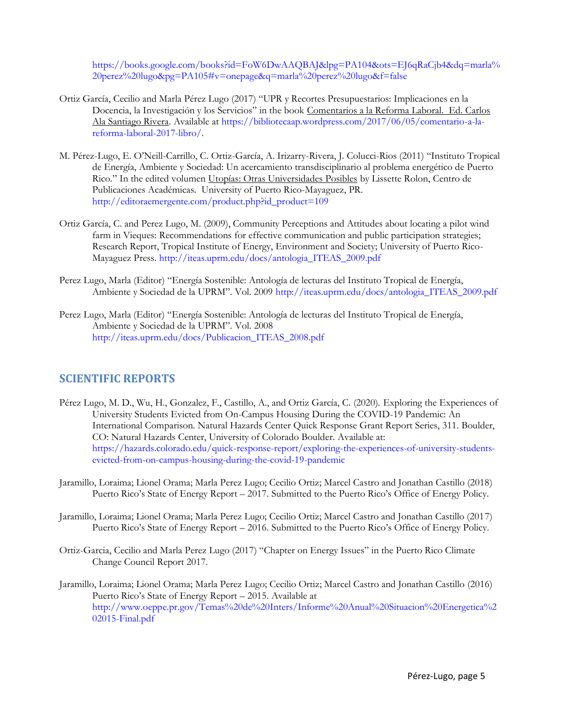[https://books.google.com/books?id=FoW6DwAAQBAJ&lpg=PA104&ots=EJ6qRaCjb4&dq=marla%](https://books.google.com/books?id=FoW6DwAAQBAJ&lpg=PA104&ots=EJ6qRaCjb4&dq=marla%20perez%20lugo&pg=PA105#v=onepage&q=marla%20perez%20lugo&f=false) [20perez%20lugo&pg=PA105#v=onepage&q=marla%20perez%20lugo&f=false](https://books.google.com/books?id=FoW6DwAAQBAJ&lpg=PA104&ots=EJ6qRaCjb4&dq=marla%20perez%20lugo&pg=PA105#v=onepage&q=marla%20perez%20lugo&f=false)

- Ortiz García, Cecilio and Marla Pérez Lugo (2017) "UPR y Recortes Presupuestarios: Implicaciones en la Docencia, la Investigación y los Servicios" in the book Comentarios a la Reforma Laboral. Ed. Carlos Ala Santiago Rivera. Available at [https://bibliotecaap.wordpress.com/2017/06/05/comentario-a-la](https://bibliotecaap.wordpress.com/2017/06/05/comentario-a-la-reforma-laboral-2017-libro/)[reforma-laboral-2017-libro/.](https://bibliotecaap.wordpress.com/2017/06/05/comentario-a-la-reforma-laboral-2017-libro/)
- M. Pérez-Lugo, E. O'Neill-Carrillo, C. Ortiz-García, A. Irizarry-Rivera, J. Colucci-Rios (2011) "Instituto Tropical de Energía, Ambiente y Sociedad: Un acercamiento transdisciplinario al problema energético de Puerto Rico." In the edited volumen Utopías: Otras Universidades Posibles by Lissette Rolon, Centro de Publicaciones Académicas. University of Puerto Rico-Mayaguez, PR. [http://editoraemergente.com/product.php?id\\_product=109](http://editoraemergente.com/product.php?id_product=109)
- Ortiz García, C. and Perez Lugo, M. (2009), Community Perceptions and Attitudes about locating a pilot wind farm in Vieques: Recommendations for effective communication and public participation strategies; Research Report, Tropical Institute of Energy, Environment and Society; University of Puerto Rico-Mayaguez Press. [http://iteas.uprm.edu/docs/antologia\\_ITEAS\\_2009.pdf](http://iteas.uprm.edu/docs/antologia_ITEAS_2009.pdf)
- Perez Lugo, Marla (Editor) "Energía Sostenible: Antología de lecturas del Instituto Tropical de Energía, Ambiente y Sociedad de la UPRM". Vol. 2009 [http://iteas.uprm.edu/docs/antologia\\_ITEAS\\_2009.pdf](http://iteas.uprm.edu/docs/antologia_ITEAS_2009.pdf)
- Perez Lugo, Marla (Editor) "Energía Sostenible: Antología de lecturas del Instituto Tropical de Energía, Ambiente y Sociedad de la UPRM". Vol. 2008 [http://iteas.uprm.edu/docs/Publicacion\\_ITEAS\\_2008.pdf](http://iteas.uprm.edu/docs/Publicacion_ITEAS_2008.pdf)

#### **SCIENTIFIC REPORTS**

- Pérez Lugo, M. D., Wu, H., Gonzalez, F., Castillo, A., and Ortiz García, C. (2020). Exploring the Experiences of University Students Evicted from On-Campus Housing During the COVID-19 Pandemic: An International Comparison. Natural Hazards Center Quick Response Grant Report Series, 311. Boulder, CO: Natural Hazards Center, University of Colorado Boulder. Available at: [https://hazards.colorado.edu/quick-response-report/exploring-the-experiences-of-university-students](https://hazards.colorado.edu/quick-response-report/exploring-the-experiences-of-university-students-evicted-from-on-campus-housing-during-the-covid-19-pandemic)[evicted-from-on-campus-housing-during-the-covid-19-pandemic](https://hazards.colorado.edu/quick-response-report/exploring-the-experiences-of-university-students-evicted-from-on-campus-housing-during-the-covid-19-pandemic)
- Jaramillo, Loraima; Lionel Orama; Marla Perez Lugo; Cecilio Ortiz; Marcel Castro and Jonathan Castillo (2018) Puerto Rico's State of Energy Report – 2017. Submitted to the Puerto Rico's Office of Energy Policy.
- Jaramillo, Loraima; Lionel Orama; Marla Perez Lugo; Cecilio Ortiz; Marcel Castro and Jonathan Castillo (2017) Puerto Rico's State of Energy Report – 2016. Submitted to the Puerto Rico's Office of Energy Policy.
- Ortiz-Garcia, Cecilio and Marla Perez Lugo (2017) "Chapter on Energy Issues" in the Puerto Rico Climate Change Council Report 2017.
- Jaramillo, Loraima; Lionel Orama; Marla Perez Lugo; Cecilio Ortiz; Marcel Castro and Jonathan Castillo (2016) Puerto Rico's State of Energy Report – 2015. Available at [http://www.oeppe.pr.gov/Temas%20de%20Inters/Informe%20Anual%20Situacion%20Energetica%2](http://www.oeppe.pr.gov/Temas%20de%20Inters/Informe%20Anual%20Situacion%20Energetica%202015-Final.pdf) [02015-Final.pdf](http://www.oeppe.pr.gov/Temas%20de%20Inters/Informe%20Anual%20Situacion%20Energetica%202015-Final.pdf)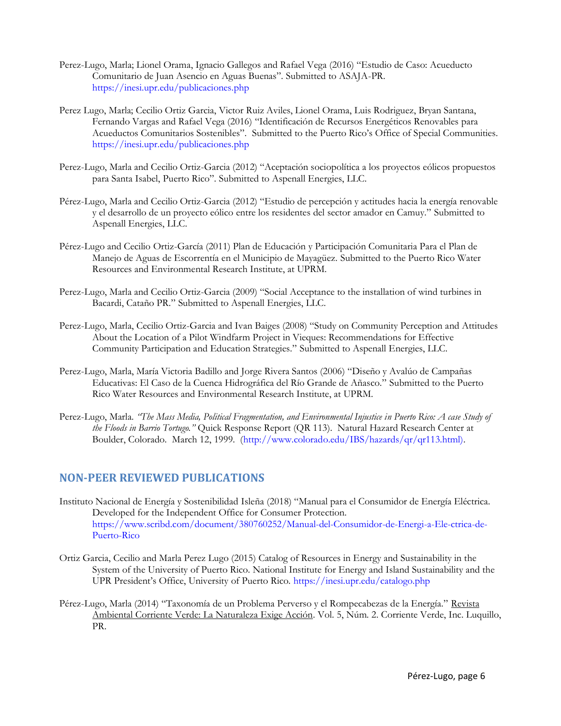- Perez-Lugo, Marla; Lionel Orama, Ignacio Gallegos and Rafael Vega (2016) "Estudio de Caso: Acueducto Comunitario de Juan Asencio en Aguas Buenas". Submitted to ASAJA-PR. <https://inesi.upr.edu/publicaciones.php>
- Perez Lugo, Marla; Cecilio Ortiz Garcia, Victor Ruiz Aviles, Lionel Orama, Luis Rodriguez, Bryan Santana, Fernando Vargas and Rafael Vega (2016) "Identificación de Recursos Energéticos Renovables para Acueductos Comunitarios Sostenibles". Submitted to the Puerto Rico's Office of Special Communities. <https://inesi.upr.edu/publicaciones.php>
- Perez-Lugo, Marla and Cecilio Ortiz-Garcia (2012) "Aceptación sociopolítica a los proyectos eólicos propuestos para Santa Isabel, Puerto Rico". Submitted to Aspenall Energies, LLC.
- Pérez-Lugo, Marla and Cecilio Ortiz-Garcia (2012) "Estudio de percepción y actitudes hacia la energía renovable y el desarrollo de un proyecto eólico entre los residentes del sector amador en Camuy." Submitted to Aspenall Energies, LLC.
- Pérez-Lugo and Cecilio Ortiz-García (2011) Plan de Educación y Participación Comunitaria Para el Plan de Manejo de Aguas de Escorrentía en el Municipio de Mayagüez. Submitted to the Puerto Rico Water Resources and Environmental Research Institute, at UPRM.
- Perez-Lugo, Marla and Cecilio Ortiz-Garcia (2009) "Social Acceptance to the installation of wind turbines in Bacardi, Cataño PR." Submitted to Aspenall Energies, LLC.
- Perez-Lugo, Marla, Cecilio Ortiz-Garcia and Ivan Baiges (2008) "Study on Community Perception and Attitudes About the Location of a Pilot Windfarm Project in Vieques: Recommendations for Effective Community Participation and Education Strategies." Submitted to Aspenall Energies, LLC.
- Perez-Lugo, Marla, María Victoria Badillo and Jorge Rivera Santos (2006) "Diseño y Avalúo de Campañas Educativas: El Caso de la Cuenca Hidrográfica del Río Grande de Añasco." Submitted to the Puerto Rico Water Resources and Environmental Research Institute, at UPRM.
- Perez-Lugo, Marla. *"The Mass Media, Political Fragmentation, and Environmental Injustice in Puerto Rico: A case Study of the Floods in Barrio Tortugo."* Quick Response Report (QR 113). Natural Hazard Research Center at Boulder, Colorado. March 12, 1999. [\(http://www.colorado.edu/IBS/hazards/qr/qr113.html\).](http://www.colorado.edu/IBS/hazards/qr/qr113.html))

# **NON-PEER REVIEWED PUBLICATIONS**

- Instituto Nacional de Energía y Sostenibilidad Isleña (2018) "Manual para el Consumidor de Energía Eléctrica. Developed for the Independent Office for Consumer Protection. [https://www.scribd.com/document/380760252/Manual-del-Consumidor-de-Energi-a-Ele-ctrica-de-](https://www.scribd.com/document/380760252/Manual-del-Consumidor-de-Energi-a-Ele-ctrica-de-Puerto-Rico)[Puerto-Rico](https://www.scribd.com/document/380760252/Manual-del-Consumidor-de-Energi-a-Ele-ctrica-de-Puerto-Rico)
- Ortiz Garcia, Cecilio and Marla Perez Lugo (2015) Catalog of Resources in Energy and Sustainability in the System of the University of Puerto Rico. National Institute for Energy and Island Sustainability and the UPR President's Office, University of Puerto Rico.<https://inesi.upr.edu/catalogo.php>
- Pérez-Lugo, Marla (2014) "Taxonomía de un Problema Perverso y el Rompecabezas de la Energía." Revista Ambiental Corriente Verde: La Naturaleza Exige Acción. Vol. 5, Núm. 2. Corriente Verde, Inc. Luquillo, PR.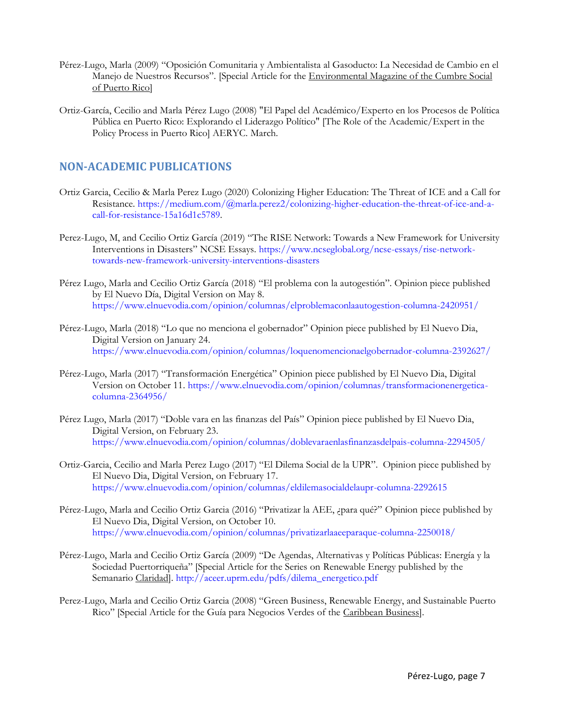- Pérez-Lugo, Marla (2009) "Oposición Comunitaria y Ambientalista al Gasoducto: La Necesidad de Cambio en el Manejo de Nuestros Recursos". [Special Article for the Environmental Magazine of the Cumbre Social of Puerto Rico]
- Ortiz-García, Cecilio and Marla Pérez Lugo (2008) "El Papel del Académico/Experto en los Procesos de Política Pública en Puerto Rico: Explorando el Liderazgo Político" [The Role of the Academic/Expert in the Policy Process in Puerto Rico] AERYC. March.

## **NON-ACADEMIC PUBLICATIONS**

- Ortiz Garcia, Cecilio & Marla Perez Lugo (2020) Colonizing Higher Education: The Threat of ICE and a Call for Resistance. [https://medium.com/@marla.perez2/colonizing-higher-education-the-threat-of-ice-and-a](https://medium.com/@marla.perez2/colonizing-higher-education-the-threat-of-ice-and-a-call-for-resistance-15a16d1c5789)[call-for-resistance-15a16d1c5789.](https://medium.com/@marla.perez2/colonizing-higher-education-the-threat-of-ice-and-a-call-for-resistance-15a16d1c5789)
- Perez-Lugo, M, and Cecilio Ortiz García (2019) "The RISE Network: Towards a New Framework for University Interventions in Disasters" NCSE Essays. [https://www.ncseglobal.org/ncse-essays/rise-network](https://www.ncseglobal.org/ncse-essays/rise-network-towards-new-framework-university-interventions-disasters)[towards-new-framework-university-interventions-disasters](https://www.ncseglobal.org/ncse-essays/rise-network-towards-new-framework-university-interventions-disasters)
- Pérez Lugo, Marla and Cecilio Ortiz García (2018) "El problema con la autogestión". Opinion piece published by El Nuevo Día, Digital Version on May 8. <https://www.elnuevodia.com/opinion/columnas/elproblemaconlaautogestion-columna-2420951/>
- Pérez-Lugo, Marla (2018) "Lo que no menciona el gobernador" Opinion piece published by El Nuevo Dia, Digital Version on January 24. <https://www.elnuevodia.com/opinion/columnas/loquenomencionaelgobernador-columna-2392627/>
- Pérez-Lugo, Marla (2017) "Transformación Energética" Opinion piece published by El Nuevo Dia, Digital Version on October 11. [https://www.elnuevodia.com/opinion/columnas/transformacionenergetica](https://www.elnuevodia.com/opinion/columnas/transformacionenergetica-columna-2364956/)[columna-2364956/](https://www.elnuevodia.com/opinion/columnas/transformacionenergetica-columna-2364956/)
- Pérez Lugo, Marla (2017) "Doble vara en las finanzas del País" Opinion piece published by El Nuevo Dia, Digital Version, on February 23. <https://www.elnuevodia.com/opinion/columnas/doblevaraenlasfinanzasdelpais-columna-2294505/>
- Ortiz-Garcia, Cecilio and Marla Perez Lugo (2017) "El Dilema Social de la UPR". Opinion piece published by El Nuevo Dia, Digital Version, on February 17. <https://www.elnuevodia.com/opinion/columnas/eldilemasocialdelaupr-columna-2292615>
- Pérez-Lugo, Marla and Cecilio Ortiz Garcia (2016) "Privatizar la AEE, ¿para qué?" Opinion piece published by El Nuevo Dia, Digital Version, on October 10. <https://www.elnuevodia.com/opinion/columnas/privatizarlaaeeparaque-columna-2250018/>
- Pérez-Lugo, Marla and Cecilio Ortiz García (2009) "De Agendas, Alternativas y Políticas Públicas: Energía y la Sociedad Puertorriqueña" [Special Article for the Series on Renewable Energy published by the Semanario Claridad]. [http://aceer.uprm.edu/pdfs/dilema\\_energetico.pdf](http://aceer.uprm.edu/pdfs/dilema_energetico.pdf)
- Perez-Lugo, Marla and Cecilio Ortiz Garcia (2008) "Green Business, Renewable Energy, and Sustainable Puerto Rico" [Special Article for the Guía para Negocios Verdes of the Caribbean Business].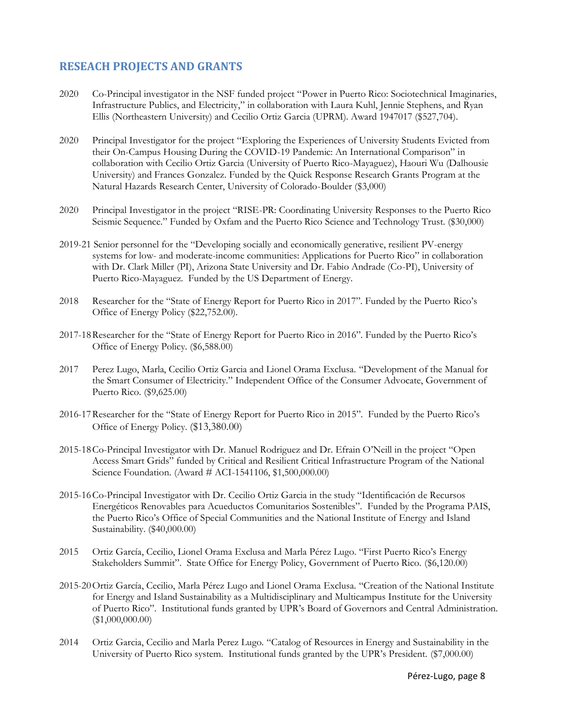# **RESEACH PROJECTS AND GRANTS**

- 2020 Co-Principal investigator in the NSF funded project "Power in Puerto Rico: Sociotechnical Imaginaries, Infrastructure Publics, and Electricity," in collaboration with Laura Kuhl, Jennie Stephens, and Ryan Ellis (Northeastern University) and Cecilio Ortiz Garcia (UPRM). Award 1947017 (\$527,704).
- 2020 Principal Investigator for the project "Exploring the Experiences of University Students Evicted from their On-Campus Housing During the COVID-19 Pandemic: An International Comparison" in collaboration with Cecilio Ortiz Garcia (University of Puerto Rico-Mayaguez), Haouri Wu (Dalhousie University) and Frances Gonzalez. Funded by the Quick Response Research Grants Program at the Natural Hazards Research Center, University of Colorado-Boulder (\$3,000)
- 2020 Principal Investigator in the project "RISE-PR: Coordinating University Responses to the Puerto Rico Seismic Sequence." Funded by Oxfam and the Puerto Rico Science and Technology Trust. (\$30,000)
- 2019-21 Senior personnel for the "Developing socially and economically generative, resilient PV-energy systems for low- and moderate-income communities: Applications for Puerto Rico" in collaboration with Dr. Clark Miller (PI), Arizona State University and Dr. Fabio Andrade (Co-PI), University of Puerto Rico-Mayaguez. Funded by the US Department of Energy.
- 2018 Researcher for the "State of Energy Report for Puerto Rico in 2017". Funded by the Puerto Rico's Office of Energy Policy (\$22,752.00).
- 2017-18Researcher for the "State of Energy Report for Puerto Rico in 2016". Funded by the Puerto Rico's Office of Energy Policy. (\$6,588.00)
- 2017 Perez Lugo, Marla, Cecilio Ortiz Garcia and Lionel Orama Exclusa. "Development of the Manual for the Smart Consumer of Electricity." Independent Office of the Consumer Advocate, Government of Puerto Rico. (\$9,625.00)
- 2016-17Researcher for the "State of Energy Report for Puerto Rico in 2015". Funded by the Puerto Rico's Office of Energy Policy. (\$13,380.00)
- 2015-18Co-Principal Investigator with Dr. Manuel Rodriguez and Dr. Efrain O'Neill in the project "Open Access Smart Grids" funded by Critical and Resilient Critical Infrastructure Program of the National Science Foundation. (Award # ACI-1541106, \$1,500,000.00)
- 2015-16Co-Principal Investigator with Dr. Cecilio Ortiz Garcia in the study "Identificación de Recursos Energéticos Renovables para Acueductos Comunitarios Sostenibles". Funded by the Programa PAIS, the Puerto Rico's Office of Special Communities and the National Institute of Energy and Island Sustainability. (\$40,000.00)
- 2015 Ortiz García, Cecilio, Lionel Orama Exclusa and Marla Pérez Lugo. "First Puerto Rico's Energy Stakeholders Summit". State Office for Energy Policy, Government of Puerto Rico. (\$6,120.00)
- 2015-20Ortiz García, Cecilio, Marla Pérez Lugo and Lionel Orama Exclusa. "Creation of the National Institute for Energy and Island Sustainability as a Multidisciplinary and Multicampus Institute for the University of Puerto Rico". Institutional funds granted by UPR's Board of Governors and Central Administration. (\$1,000,000.00)
- 2014 Ortiz Garcia, Cecilio and Marla Perez Lugo. "Catalog of Resources in Energy and Sustainability in the University of Puerto Rico system. Institutional funds granted by the UPR's President. (\$7,000.00)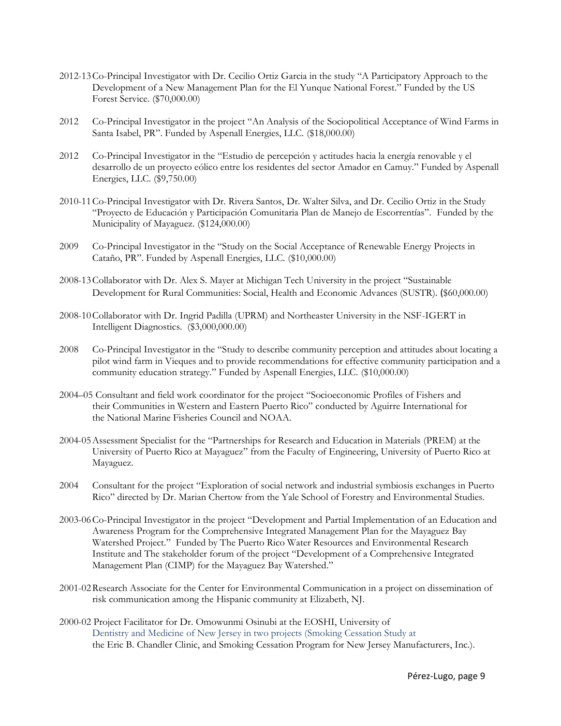- 2012-13Co-Principal Investigator with Dr. Cecilio Ortiz Garcia in the study "A Participatory Approach to the Development of a New Management Plan for the El Yunque National Forest." Funded by the US Forest Service. (\$70,000.00)
- 2012 Co-Principal Investigator in the project "An Analysis of the Sociopolitical Acceptance of Wind Farms in Santa Isabel, PR". Funded by Aspenall Energies, LLC. (\$18,000.00)
- 2012 Co-Principal Investigator in the "Estudio de percepción y actitudes hacia la energía renovable y el desarrollo de un proyecto eólico entre los residentes del sector Amador en Camuy." Funded by Aspenall Energies, LLC. (\$9,750.00)
- 2010-11Co-Principal Investigator with Dr. Rivera Santos, Dr. Walter Silva, and Dr. Cecilio Ortiz in the Study "Proyecto de Educación y Participación Comunitaria Plan de Manejo de Escorrentías". Funded by the Municipality of Mayaguez. (\$124,000.00)
- 2009 Co-Principal Investigator in the "Study on the Social Acceptance of Renewable Energy Projects in Cataño, PR". Funded by Aspenall Energies, LLC. (\$10,000.00)
- 2008-13Collaborator with Dr. Alex S. Mayer at Michigan Tech University in the project "Sustainable Development for Rural Communities: Social, Health and Economic Advances (SUSTR). (\$60,000.00)
- 2008-10Collaborator with Dr. Ingrid Padilla (UPRM) and Northeaster University in the NSF-IGERT in Intelligent Diagnostics. (\$3,000,000.00)
- 2008 Co-Principal Investigator in the "Study to describe community perception and attitudes about locating a pilot wind farm in Vieques and to provide recommendations for effective community participation and a community education strategy." Funded by Aspenall Energies, LLC. (\$10,000.00)
- 2004–05 Consultant and field work coordinator for the project "Socioeconomic Profiles of Fishers and their Communities in Western and Eastern Puerto Rico" conducted by Aguirre International for the National Marine Fisheries Council and NOAA.
- 2004-05Assessment Specialist for the "Partnerships for Research and Education in Materials (PREM) at the University of Puerto Rico at Mayaguez" from the Faculty of Engineering, University of Puerto Rico at Mayaguez.
- 2004 Consultant for the project "Exploration of social network and industrial symbiosis exchanges in Puerto Rico" directed by Dr. Marian Chertow from the Yale School of Forestry and Environmental Studies.
- 2003-06Co-Principal Investigator in the project "Development and Partial Implementation of an Education and Awareness Program for the Comprehensive Integrated Management Plan for the Mayaguez Bay Watershed Project." Funded by The Puerto Rico Water Resources and Environmental Research Institute and The stakeholder forum of the project "Development of a Comprehensive Integrated Management Plan (CIMP) for the Mayaguez Bay Watershed."
- 2001-02Research Associate for the Center for Environmental Communication in a project on dissemination of risk communication among the Hispanic community at Elizabeth, NJ.
- 2000-02 Project Facilitator for Dr. Omowunmi Osinubi at the EOSHI, University of Dentistry and Medicine of New Jersey in two projects (Smoking Cessation Study at the Eric B. Chandler Clinic, and Smoking Cessation Program for New Jersey Manufacturers, Inc.).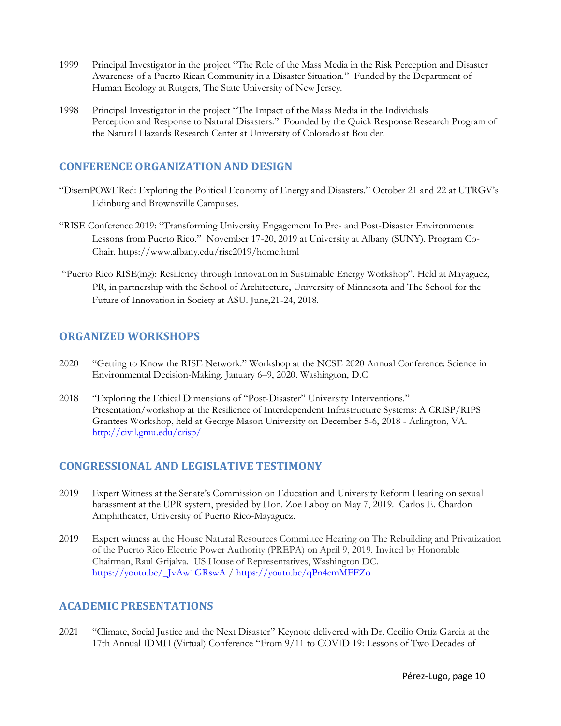- 1999 Principal Investigator in the project "The Role of the Mass Media in the Risk Perception and Disaster Awareness of a Puerto Rican Community in a Disaster Situation." Funded by the Department of Human Ecology at Rutgers, The State University of New Jersey.
- 1998 Principal Investigator in the project "The Impact of the Mass Media in the Individuals Perception and Response to Natural Disasters." Founded by the Quick Response Research Program of the Natural Hazards Research Center at University of Colorado at Boulder.

# **CONFERENCE ORGANIZATION AND DESIGN**

- "DisemPOWERed: Exploring the Political Economy of Energy and Disasters." October 21 and 22 at UTRGV's Edinburg and Brownsville Campuses.
- "RISE Conference 2019: "Transforming University Engagement In Pre- and Post-Disaster Environments: Lessons from Puerto Rico." November 17-20, 2019 at University at Albany (SUNY). Program Co-Chair.<https://www.albany.edu/rise2019/home.html>
- "Puerto Rico RISE(ing): Resiliency through Innovation in Sustainable Energy Workshop". Held at Mayaguez, PR, in partnership with the School of Architecture, University of Minnesota and The School for the Future of Innovation in Society at ASU. June,21-24, 2018.

# **ORGANIZED WORKSHOPS**

- 2020 "Getting to Know the RISE Network." Workshop at the NCSE 2020 Annual Conference: Science in Environmental Decision-Making. January 6–9, 2020. Washington, D.C.
- 2018 "Exploring the Ethical Dimensions of "Post-Disaster" University Interventions." Presentation/workshop at the Resilience of Interdependent Infrastructure Systems: A CRISP/RIPS Grantees Workshop, held at George Mason University on December 5-6, 2018 - Arlington, VA. <http://civil.gmu.edu/crisp/>

# **CONGRESSIONAL AND LEGISLATIVE TESTIMONY**

- 2019 Expert Witness at the Senate's Commission on Education and University Reform Hearing on sexual harassment at the UPR system, presided by Hon. Zoe Laboy on May 7, 2019. Carlos E. Chardon Amphitheater, University of Puerto Rico-Mayaguez.
- 2019 Expert witness at the House Natural Resources Committee Hearing on The Rebuilding and Privatization of the Puerto Rico Electric Power Authority (PREPA) on April 9, 2019. Invited by Honorable Chairman, Raul Grijalva. US House of Representatives, Washington DC. [https://youtu.be/\\_JvAw1GRswA](https://youtu.be/_JvAw1GRswA) [/ https://youtu.be/qPn4cmMFFZo](https://youtu.be/qPn4cmMFFZo)

# **ACADEMIC PRESENTATIONS**

2021 "Climate, Social Justice and the Next Disaster" Keynote delivered with Dr. Cecilio Ortiz Garcia at the 17th Annual IDMH (Virtual) Conference "From 9/11 to COVID 19: Lessons of Two Decades of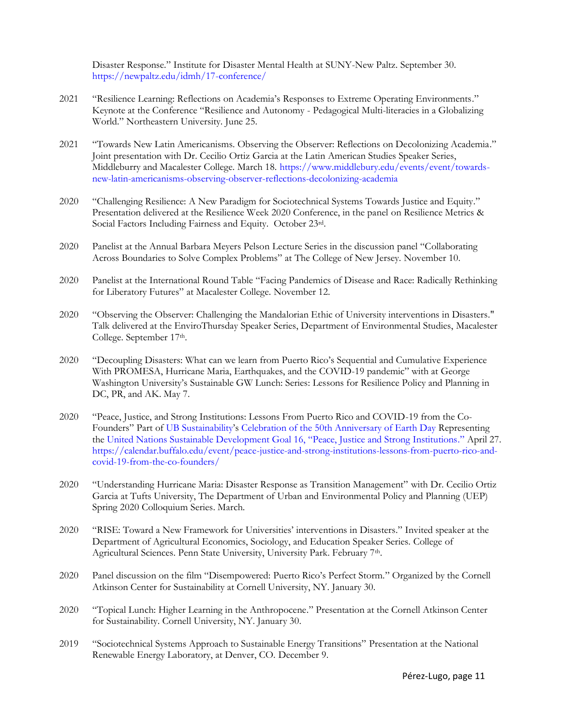Disaster Response." Institute for Disaster Mental Health at SUNY-New Paltz. September 30. <https://newpaltz.edu/idmh/17-conference/>

- 2021 "Resilience Learning: Reflections on Academia's Responses to Extreme Operating Environments." Keynote at the Conference "Resilience and Autonomy - Pedagogical Multi-literacies in a Globalizing World." Northeastern University. June 25.
- 2021 "Towards New Latin Americanisms. Observing the Observer: Reflections on Decolonizing Academia." Joint presentation with Dr. Cecilio Ortiz Garcia at the Latin American Studies Speaker Series, Middleburry and Macalester College. March 18. [https://www.middlebury.edu/events/event/towards](https://www.middlebury.edu/events/event/towards-new-latin-americanisms-observing-observer-reflections-decolonizing-academia)[new-latin-americanisms-observing-observer-reflections-decolonizing-academia](https://www.middlebury.edu/events/event/towards-new-latin-americanisms-observing-observer-reflections-decolonizing-academia)
- 2020 "Challenging Resilience: A New Paradigm for Sociotechnical Systems Towards Justice and Equity." Presentation delivered at the Resilience Week 2020 Conference, in the panel on Resilience Metrics & Social Factors Including Fairness and Equity. October 23rd.
- 2020 Panelist at the Annual Barbara Meyers Pelson Lecture Series in the discussion panel "Collaborating Across Boundaries to Solve Complex Problems" at The College of New Jersey. November 10.
- 2020 Panelist at the International Round Table "Facing Pandemics of Disease and Race: Radically Rethinking for Liberatory Futures" at Macalester College. November 12.
- 2020 "Observing the Observer: Challenging the Mandalorian Ethic of University interventions in Disasters." Talk delivered at the EnviroThursday Speaker Series, Department of Environmental Studies, Macalester College. September 17th.
- 2020 "Decoupling Disasters: What can we learn from Puerto Rico's Sequential and Cumulative Experience With PROMESA, Hurricane Maria, Earthquakes, and the COVID-19 pandemic" with at George Washington University's Sustainable GW Lunch: Series: Lessons for Resilience Policy and Planning in DC, PR, and AK. May 7.
- 2020 "Peace, Justice, and Strong Institutions: Lessons From Puerto Rico and COVID-19 from the Co-Founders" Part of [UB Sustainability](http://www.buffalo.edu/sustainability.html)'s [Celebration of the 50th Anniversary of Earth Day](http://www.buffalo.edu/sustainability/keyinitiatives/sustainability-month.html) Representing the [United Nations Sustainable Development Goal 16, "Peace, Justice and Strong Institutions](https://www.un.org/sustainabledevelopment/peace-justice/)." April 27. [https://calendar.buffalo.edu/event/peace-justice-and-strong-institutions-lessons-from-puerto-rico-and](https://calendar.buffalo.edu/event/peace-justice-and-strong-institutions-lessons-from-puerto-rico-and-covid-19-from-the-co-founders/)[covid-19-from-the-co-founders/](https://calendar.buffalo.edu/event/peace-justice-and-strong-institutions-lessons-from-puerto-rico-and-covid-19-from-the-co-founders/)
- 2020 "Understanding Hurricane Maria: Disaster Response as Transition Management" with Dr. Cecilio Ortiz Garcia at Tufts University, The Department of Urban and Environmental Policy and Planning (UEP) Spring 2020 Colloquium Series. March.
- 2020 "RISE: Toward a New Framework for Universities' interventions in Disasters." Invited speaker at the Department of Agricultural Economics, Sociology, and Education Speaker Series. College of Agricultural Sciences. Penn State University, University Park. February 7th.
- 2020 Panel discussion on the film "Disempowered: Puerto Rico's Perfect Storm." Organized by the Cornell Atkinson Center for Sustainability at Cornell University, NY. January 30.
- 2020 "Topical Lunch: Higher Learning in the Anthropocene." Presentation at the Cornell Atkinson Center for Sustainability. Cornell University, NY. January 30.
- 2019 "Sociotechnical Systems Approach to Sustainable Energy Transitions" Presentation at the National Renewable Energy Laboratory, at Denver, CO. December 9.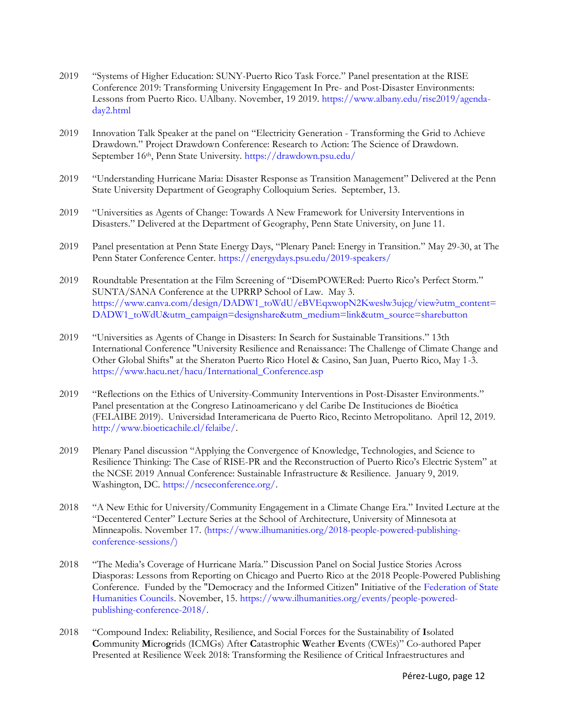- 2019 "[Systems of Higher Education:](https://rise2019.org/programs/systems-of-higher-education.html) SUNY-Puerto Rico Task Force." Panel presentation at the RISE Conference 2019: Transforming University Engagement In Pre- and Post-Disaster Environments: Lessons from Puerto Rico. UAlbany. November, 19 2019. [https://www.albany.edu/rise2019/agenda](https://www.albany.edu/rise2019/agenda-day2.html)[day2.html](https://www.albany.edu/rise2019/agenda-day2.html)
- 2019 Innovation Talk Speaker at the panel on "Electricity Generation Transforming the Grid to Achieve Drawdown." Project Drawdown Conference: Research to Action: The Science of Drawdown. September 16th, Penn State University. <https://drawdown.psu.edu/>
- 2019 "Understanding Hurricane Maria: Disaster Response as Transition Management" Delivered at the Penn State University Department of Geography Colloquium Series. September, 13.
- 2019 "Universities as Agents of Change: Towards A New Framework for University Interventions in Disasters." Delivered at the Department of Geography, Penn State University, on June 11.
- 2019 Panel presentation at Penn State Energy Days, "Plenary Panel: Energy in Transition." May 29-30, at The Penn Stater Conference Center.<https://energydays.psu.edu/2019-speakers/>
- 2019 Roundtable Presentation at the Film Screening of "DisemPOWERed: Puerto Rico's Perfect Storm." SUNTA/SANA Conference at the UPRRP School of Law. May 3. [https://www.canva.com/design/DADW1\\_toWdU/eBVEqxwopN2Kweslw3ujcg/view?utm\\_content=](https://www.canva.com/design/DADW1_toWdU/eBVEqxwopN2Kweslw3ujcg/view?utm_content=DADW1_toWdU&utm_campaign=designshare&utm_medium=link&utm_source=sharebutton) [DADW1\\_toWdU&utm\\_campaign=designshare&utm\\_medium=link&utm\\_source=sharebutton](https://www.canva.com/design/DADW1_toWdU/eBVEqxwopN2Kweslw3ujcg/view?utm_content=DADW1_toWdU&utm_campaign=designshare&utm_medium=link&utm_source=sharebutton)
- 2019 "Universities as Agents of Change in Disasters: In Search for Sustainable Transitions." 13th International Conference "University Resilience and Renaissance: The Challenge of Climate Change and Other Global Shifts" at the Sheraton Puerto Rico Hotel & Casino, San Juan, Puerto Rico, May 1-3. [https://www.hacu.net/hacu/International\\_Conference.asp](https://www.hacu.net/hacu/International_Conference.asp)
- 2019 "Reflections on the Ethics of University-Community Interventions in Post-Disaster Environments." Panel presentation at the Congreso Latinoamericano y del Caribe De Instituciones de Bioética (FELAIBE 2019). Universidad Interamericana de Puerto Rico, Recinto Metropolitano. April 12, 2019. [http://www.bioeticachile.cl/felaibe/.](http://www.bioeticachile.cl/felaibe/)
- 2019 Plenary Panel discussion "Applying the Convergence of Knowledge, Technologies, and Science to Resilience Thinking: The Case of RISE-PR and the Reconstruction of Puerto Rico's Electric System" at the NCSE 2019 Annual Conference: Sustainable Infrastructure & Resilience. January 9, 2019. Washington, DC. [https://ncseconference.org/.](https://ncseconference.org/)
- 2018 "A New Ethic for University/Community Engagement in a Climate Change Era." Invited Lecture at the "Decentered Center" Lecture Series at the School of Architecture, University of Minnesota at Minneapolis. November 17. [\(https://www.ilhumanities.org/2018-people-powered-publishing](https://www.ilhumanities.org/2018-people-powered-publishing-conference-sessions/))[conference-sessions/\)](https://www.ilhumanities.org/2018-people-powered-publishing-conference-sessions/))
- 2018 "The Media's Coverage of Hurricane María." Discussion Panel on Social Justice Stories Across Diasporas: Lessons from Reporting on Chicago and Puerto Rico at the 2018 People-Powered Publishing Conference. Funded by the "Democracy and the Informed Citizen" Initiative of the [Federation of State](https://bbox.blackbaudhosting.com/webforms/service/page.redir?target=http%3a%2f%2fwww.statehumanities.org%2f%3fbblinkid%3d120579966%26bbemailid%3d10155108%26bbejrid%3d775441365&srcid=10686888&srctid=1&erid=812407174&trid=de27436e-8dfb-4729-a466-a39849c0d1d6)  [Humanities Councils.](https://bbox.blackbaudhosting.com/webforms/service/page.redir?target=http%3a%2f%2fwww.statehumanities.org%2f%3fbblinkid%3d120579966%26bbemailid%3d10155108%26bbejrid%3d775441365&srcid=10686888&srctid=1&erid=812407174&trid=de27436e-8dfb-4729-a466-a39849c0d1d6) November, 15. [https://www.ilhumanities.org/events/people-powered](https://www.ilhumanities.org/events/people-powered-publishing-conference-2018/)[publishing-conference-2018/.](https://www.ilhumanities.org/events/people-powered-publishing-conference-2018/)
- 2018 "Compound Index: Reliability, Resilience, and Social Forces for the Sustainability of **I**solated **C**ommunity **M**icro**g**rids (ICMGs) After **C**atastrophic **W**eather **E**vents (CWEs)" Co-authored Paper Presented at Resilience Week 2018: Transforming the Resilience of Critical Infraestructures and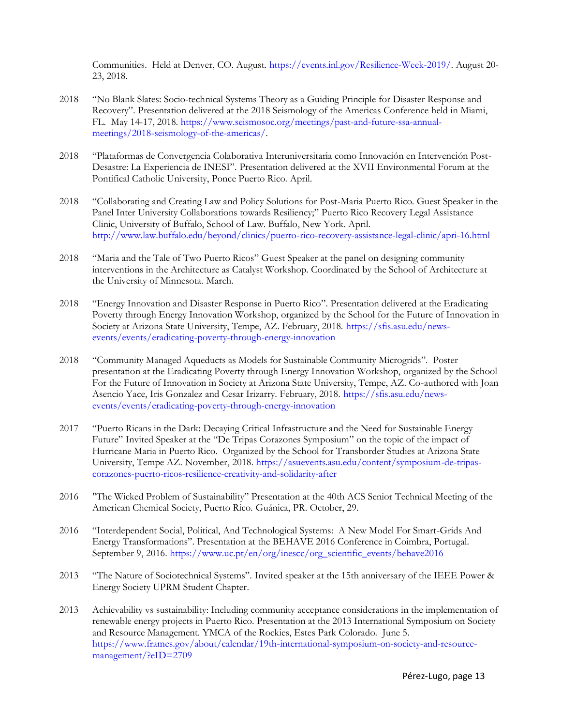Communities. Held at Denver, CO. August. [https://events.inl.gov/Resilience-Week-2019/.](https://events.inl.gov/Resilience-Week-2019/) August 20- 23, 2018.

- 2018 "No Blank Slates: Socio-technical Systems Theory as a Guiding Principle for Disaster Response and Recovery". Presentation delivered at the 2018 Seismology of the Americas Conference held in Miami, FL. May 14-17, 2018. [https://www.seismosoc.org/meetings/past-and-future-ssa-annual](https://www.seismosoc.org/meetings/past-and-future-ssa-annual-meetings/2018-seismology-of-the-americas/)[meetings/2018-seismology-of-the-americas/.](https://www.seismosoc.org/meetings/past-and-future-ssa-annual-meetings/2018-seismology-of-the-americas/)
- 2018 "Plataformas de Convergencia Colaborativa Interuniversitaria como Innovación en Intervención Post-Desastre: La Experiencia de INESI". Presentation delivered at the XVII Environmental Forum at the Pontifical Catholic University, Ponce Puerto Rico. April.
- 2018 "Collaborating and Creating Law and Policy Solutions for Post-Maria Puerto Rico. Guest Speaker in the Panel Inter University Collaborations towards Resiliency;" Puerto Rico Recovery Legal Assistance Clinic, University of Buffalo, School of Law. Buffalo, New York. April. <http://www.law.buffalo.edu/beyond/clinics/puerto-rico-recovery-assistance-legal-clinic/apri-16.html>
- 2018 "Maria and the Tale of Two Puerto Ricos" Guest Speaker at the panel on designing community interventions in the Architecture as Catalyst Workshop. Coordinated by the School of Architecture at the University of Minnesota. March.
- 2018 "Energy Innovation and Disaster Response in Puerto Rico". Presentation delivered at the Eradicating Poverty through Energy Innovation Workshop, organized by the School for the Future of Innovation in Society at Arizona State University, Tempe, AZ. February, 2018. [https://sfis.asu.edu/news](https://sfis.asu.edu/news-events/events/eradicating-poverty-through-energy-innovation)[events/events/eradicating-poverty-through-energy-innovation](https://sfis.asu.edu/news-events/events/eradicating-poverty-through-energy-innovation)
- 2018 "Community Managed Aqueducts as Models for Sustainable Community Microgrids". Poster presentation at the Eradicating Poverty through Energy Innovation Workshop, organized by the School For the Future of Innovation in Society at Arizona State University, Tempe, AZ. Co-authored with Joan Asencio Yace, Iris Gonzalez and Cesar Irizarry. February, 2018. [https://sfis.asu.edu/news](https://sfis.asu.edu/news-events/events/eradicating-poverty-through-energy-innovation)[events/events/eradicating-poverty-through-energy-innovation](https://sfis.asu.edu/news-events/events/eradicating-poverty-through-energy-innovation)
- 2017 "Puerto Ricans in the Dark: Decaying Critical Infrastructure and the Need for Sustainable Energy Future" Invited Speaker at the "De Tripas Corazones Symposium" on the topic of the impact of Hurricane Maria in Puerto Rico. Organized by the School for Transborder Studies at Arizona State University, Tempe AZ. November, 2018. [https://asuevents.asu.edu/content/symposium-de-tripas](https://asuevents.asu.edu/content/symposium-de-tripas-corazones-puerto-ricos-resilience-creativity-and-solidarity-after)[corazones-puerto-ricos-resilience-creativity-and-solidarity-after](https://asuevents.asu.edu/content/symposium-de-tripas-corazones-puerto-ricos-resilience-creativity-and-solidarity-after)
- 2016 "The Wicked Problem of Sustainability" Presentation at the 40th ACS Senior Technical Meeting of the American Chemical Society, Puerto Rico. Guánica, PR. October, 29.
- 2016 "Interdependent Social, Political, And Technological Systems: A New Model For Smart-Grids And Energy Transformations". Presentation at the BEHAVE 2016 Conference in Coimbra, Portugal. September 9, 2016. [https://www.uc.pt/en/org/inescc/org\\_scientific\\_events/behave2016](https://www.uc.pt/en/org/inescc/org_scientific_events/behave2016)
- 2013 "The Nature of Sociotechnical Systems". Invited speaker at the 15th anniversary of the IEEE Power & Energy Society UPRM Student Chapter.
- 2013 Achievability vs sustainability: Including community acceptance considerations in the implementation of renewable energy projects in Puerto Rico. Presentation at the 2013 International Symposium on Society and Resource Management. YMCA of the Rockies, Estes Park Colorado. June 5. [https://www.frames.gov/about/calendar/19th-international-symposium-on-society-and-resource](https://www.frames.gov/about/calendar/19th-international-symposium-on-society-and-resource-management/?eID=2709)[management/?eID=2709](https://www.frames.gov/about/calendar/19th-international-symposium-on-society-and-resource-management/?eID=2709)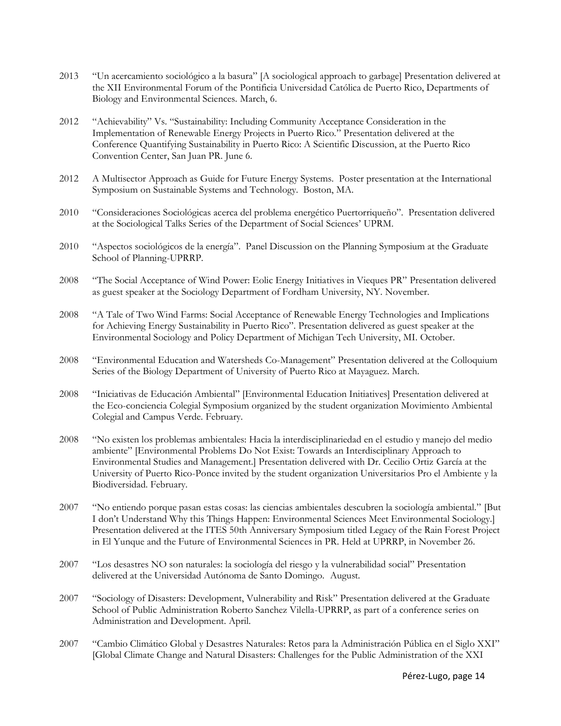- 2013 "Un acercamiento sociológico a la basura" [A sociological approach to garbage] Presentation delivered at the XII Environmental Forum of the Pontificia Universidad Católica de Puerto Rico, Departments of Biology and Environmental Sciences. March, 6.
- 2012 "Achievability" Vs. "Sustainability: Including Community Acceptance Consideration in the Implementation of Renewable Energy Projects in Puerto Rico." Presentation delivered at the Conference Quantifying Sustainability in Puerto Rico: A Scientific Discussion, at the Puerto Rico Convention Center, San Juan PR. June 6.
- 2012 A Multisector Approach as Guide for Future Energy Systems. Poster presentation at the International Symposium on Sustainable Systems and Technology. Boston, MA.
- 2010 "Consideraciones Sociológicas acerca del problema energético Puertorriqueño". Presentation delivered at the Sociological Talks Series of the Department of Social Sciences' UPRM.
- 2010 "Aspectos sociológicos de la energía". Panel Discussion on the Planning Symposium at the Graduate School of Planning-UPRRP.
- 2008 "The Social Acceptance of Wind Power: Eolic Energy Initiatives in Vieques PR" Presentation delivered as guest speaker at the Sociology Department of Fordham University, NY. November.
- 2008 "A Tale of Two Wind Farms: Social Acceptance of Renewable Energy Technologies and Implications for Achieving Energy Sustainability in Puerto Rico". Presentation delivered as guest speaker at the Environmental Sociology and Policy Department of Michigan Tech University, MI. October.
- 2008 "Environmental Education and Watersheds Co-Management" Presentation delivered at the Colloquium Series of the Biology Department of University of Puerto Rico at Mayaguez. March.
- 2008 "Iniciativas de Educación Ambiental" [Environmental Education Initiatives] Presentation delivered at the Eco-conciencia Colegial Symposium organized by the student organization Movimiento Ambiental Colegial and Campus Verde. February.
- 2008 "No existen los problemas ambientales: Hacia la interdisciplinariedad en el estudio y manejo del medio ambiente" [Environmental Problems Do Not Exist: Towards an Interdisciplinary Approach to Environmental Studies and Management.] Presentation delivered with Dr. Cecilio Ortiz García at the University of Puerto Rico-Ponce invited by the student organization Universitarios Pro el Ambiente y la Biodiversidad. February.
- 2007 "No entiendo porque pasan estas cosas: las ciencias ambientales descubren la sociología ambiental." [But I don't Understand Why this Things Happen: Environmental Sciences Meet Environmental Sociology.] Presentation delivered at the ITES 50th Anniversary Symposium titled Legacy of the Rain Forest Project in El Yunque and the Future of Environmental Sciences in PR. Held at UPRRP, in November 26.
- 2007 "Los desastres NO son naturales: la sociología del riesgo y la vulnerabilidad social" Presentation delivered at the Universidad Autónoma de Santo Domingo. August.
- 2007 "Sociology of Disasters: Development, Vulnerability and Risk" Presentation delivered at the Graduate School of Public Administration Roberto Sanchez Vilella-UPRRP, as part of a conference series on Administration and Development. April.
- 2007 "Cambio Climático Global y Desastres Naturales: Retos para la Administración Pública en el Siglo XXI" [Global Climate Change and Natural Disasters: Challenges for the Public Administration of the XXI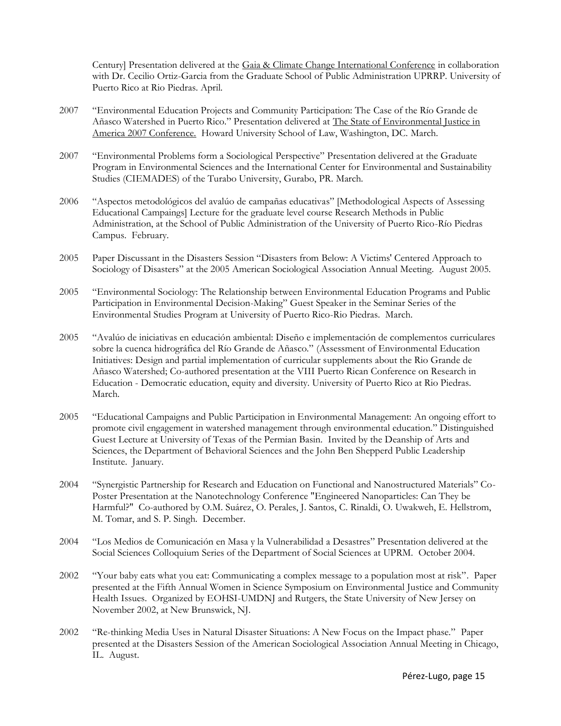Century] Presentation delivered at the Gaia & Climate Change International Conference in collaboration with Dr. Cecilio Ortiz-Garcia from the Graduate School of Public Administration UPRRP. University of Puerto Rico at Rio Piedras. April.

- 2007 "Environmental Education Projects and Community Participation: The Case of the Río Grande de Añasco Watershed in Puerto Rico." Presentation delivered at The State of Environmental Justice in America 2007 Conference. Howard University School of Law, Washington, DC. March.
- 2007 "Environmental Problems form a Sociological Perspective" Presentation delivered at the Graduate Program in Environmental Sciences and the International Center for Environmental and Sustainability Studies (CIEMADES) of the Turabo University, Gurabo, PR. March.
- 2006 "Aspectos metodológicos del avalúo de campañas educativas" [Methodological Aspects of Assessing Educational Campaings] Lecture for the graduate level course Research Methods in Public Administration, at the School of Public Administration of the University of Puerto Rico-Río Piedras Campus. February.
- 2005 Paper Discussant in the Disasters Session "[Disasters from Below: A Victims' Centered Approach to](http://convention2.allacademic.com/index.php?click_key=1&session_id=7719&cmd=Search+Load+Session&PHPSESSID=1557cec3baccd33fe690ae404d4b420b)  [Sociology of Disasters](http://convention2.allacademic.com/index.php?click_key=1&session_id=7719&cmd=Search+Load+Session&PHPSESSID=1557cec3baccd33fe690ae404d4b420b)" at the 2005 American Sociological Association Annual Meeting. August 2005.
- 2005 "Environmental Sociology: The Relationship between Environmental Education Programs and Public Participation in Environmental Decision-Making" Guest Speaker in the Seminar Series of the Environmental Studies Program at University of Puerto Rico-Rio Piedras. March.
- 2005 "Avalúo de iniciativas en educación ambiental: Diseño e implementación de complementos curriculares sobre la cuenca hidrográfica del Río Grande de Añasco." (Assessment of Environmental Education Initiatives: Design and partial implementation of curricular supplements about the Rio Grande de Añasco Watershed; Co-authored presentation at the VIII Puerto Rican Conference on Research in Education - Democratic education, equity and diversity. University of Puerto Rico at Rio Piedras. March.
- 2005 "Educational Campaigns and Public Participation in Environmental Management: An ongoing effort to promote civil engagement in watershed management through environmental education." Distinguished Guest Lecture at University of Texas of the Permian Basin. Invited by the Deanship of Arts and Sciences, the Department of Behavioral Sciences and the [John Ben Shepperd Public Leadership](http://www.utpb.edu/JBS/mainpage.htm)  [Institute.](http://www.utpb.edu/JBS/mainpage.htm) January.
- 2004 "Synergistic Partnership for Research and Education on Functional and Nanostructured Materials" Co-Poster Presentation at the Nanotechnology Conference "Engineered Nanoparticles: Can They be Harmful?" Co-authored by O.M. Suárez, O. Perales, J. Santos, C. Rinaldi, O. Uwakweh, E. Hellstrom, M. Tomar, and S. P. Singh. December.
- 2004 "Los Medios de Comunicación en Masa y la Vulnerabilidad a Desastres" Presentation delivered at the Social Sciences Colloquium Series of the Department of Social Sciences at UPRM. October 2004.
- 2002 "Your baby eats what you eat: Communicating a complex message to a population most at risk". Paper presented at the Fifth Annual Women in Science Symposium on Environmental Justice and Community Health Issues. Organized by EOHSI-UMDNJ and Rutgers, the State University of New Jersey on November 2002, at New Brunswick, NJ.
- 2002 "Re-thinking Media Uses in Natural Disaster Situations: A New Focus on the Impact phase." Paper presented at the Disasters Session of the American Sociological Association Annual Meeting in Chicago, IL. August.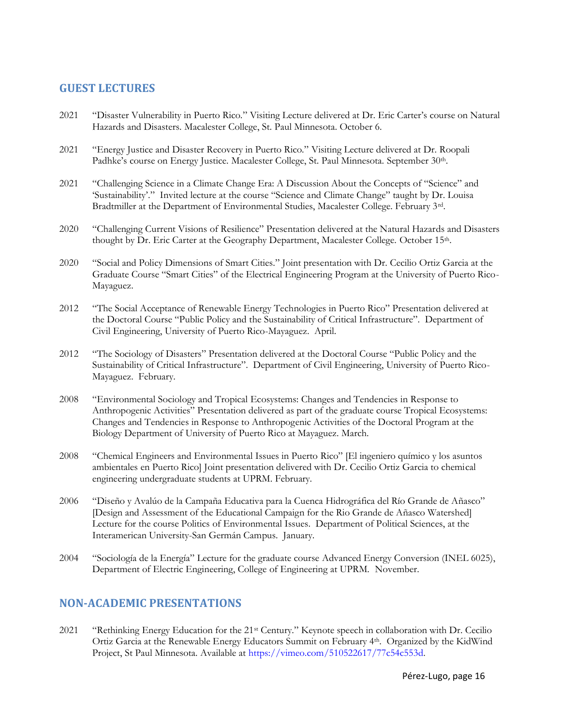## **GUEST LECTURES**

- 2021 "Disaster Vulnerability in Puerto Rico." Visiting Lecture delivered at Dr. Eric Carter's course on Natural Hazards and Disasters. Macalester College, St. Paul Minnesota. October 6.
- 2021 "Energy Justice and Disaster Recovery in Puerto Rico." Visiting Lecture delivered at Dr. Roopali Padhke's course on Energy Justice. Macalester College, St. Paul Minnesota. September 30<sup>th</sup>.
- 2021 "Challenging Science in a Climate Change Era: A Discussion About the Concepts of "Science" and 'Sustainability'." Invited lecture at the course "Science and Climate Change" taught by Dr. Louisa Bradtmiller at the Department of Environmental Studies, Macalester College. February 3rd.
- 2020 "Challenging Current Visions of Resilience" Presentation delivered at the Natural Hazards and Disasters thought by Dr. Eric Carter at the Geography Department, Macalester College. October 15th.
- 2020 "Social and Policy Dimensions of Smart Cities." Joint presentation with Dr. Cecilio Ortiz Garcia at the Graduate Course "Smart Cities" of the Electrical Engineering Program at the University of Puerto Rico-Mayaguez.
- 2012 "The Social Acceptance of Renewable Energy Technologies in Puerto Rico" Presentation delivered at the Doctoral Course "Public Policy and the Sustainability of Critical Infrastructure". Department of Civil Engineering, University of Puerto Rico-Mayaguez. April.
- 2012 "The Sociology of Disasters" Presentation delivered at the Doctoral Course "Public Policy and the Sustainability of Critical Infrastructure". Department of Civil Engineering, University of Puerto Rico-Mayaguez. February.
- 2008 "Environmental Sociology and Tropical Ecosystems: Changes and Tendencies in Response to Anthropogenic Activities" Presentation delivered as part of the graduate course Tropical Ecosystems: Changes and Tendencies in Response to Anthropogenic Activities of the Doctoral Program at the Biology Department of University of Puerto Rico at Mayaguez. March.
- 2008 "Chemical Engineers and Environmental Issues in Puerto Rico" [El ingeniero químico y los asuntos ambientales en Puerto Rico] Joint presentation delivered with Dr. Cecilio Ortiz Garcia to chemical engineering undergraduate students at UPRM. February.
- 2006 "Diseño y Avalúo de la Campaña Educativa para la Cuenca Hidrográfica del Río Grande de Añasco" [Design and Assessment of the Educational Campaign for the Rio Grande de Añasco Watershed] Lecture for the course Politics of Environmental Issues. Department of Political Sciences, at the Interamerican University-San Germán Campus. January.
- 2004 "Sociología de la Energía" Lecture for the graduate course Advanced Energy Conversion (INEL 6025), Department of Electric Engineering, College of Engineering at UPRM. November.

#### **NON-ACADEMIC PRESENTATIONS**

2021 "Rethinking Energy Education for the 21st Century." Keynote speech in collaboration with Dr. Cecilio Ortiz Garcia at the Renewable Energy Educators Summit on February 4th. Organized by the KidWind Project, St Paul Minnesota. Available at [https://vimeo.com/510522617/77c54c553d.](https://vimeo.com/510522617/77c54c553d)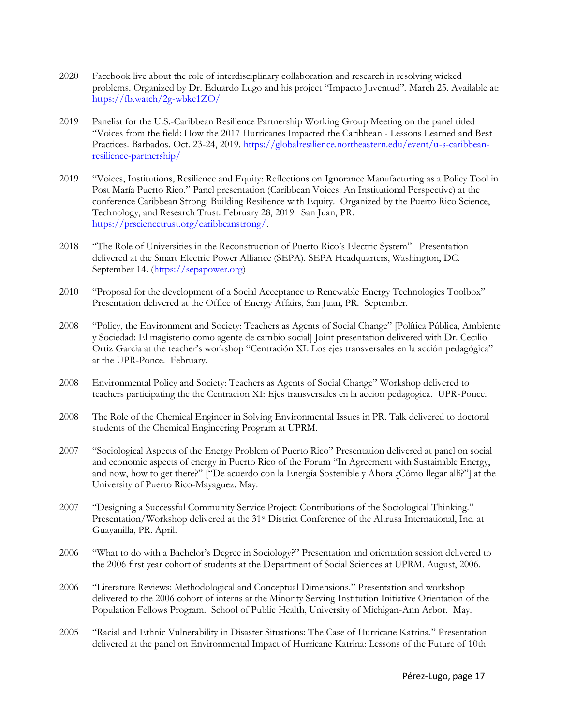- 2020 Facebook live about the role of interdisciplinary collaboration and research in resolving wicked problems. Organized by Dr. Eduardo Lugo and his project "Impacto Juventud". March 25. Available at: <https://fb.watch/2g-wbkc1ZO/>
- 2019 Panelist for the U.S.-Caribbean Resilience Partnership Working Group Meeting on the panel titled "Voices from the field: How the 2017 Hurricanes Impacted the Caribbean - Lessons Learned and Best Practices. Barbados. Oct. 23-24, 2019[. https://globalresilience.northeastern.edu/event/u-s-caribbean](https://globalresilience.northeastern.edu/event/u-s-caribbean-resilience-partnership/)[resilience-partnership/](https://globalresilience.northeastern.edu/event/u-s-caribbean-resilience-partnership/)
- 2019 "Voices, Institutions, Resilience and Equity: Reflections on Ignorance Manufacturing as a Policy Tool in Post María Puerto Rico." Panel presentation (Caribbean Voices: An Institutional Perspective) at the conference Caribbean Strong: Building Resilience with Equity. Organized by the Puerto Rico Science, Technology, and Research Trust. February 28, 2019. San Juan, PR. [https://prsciencetrust.org/caribbeanstrong/.](https://prsciencetrust.org/caribbeanstrong/)
- 2018 "The Role of Universities in the Reconstruction of Puerto Rico's Electric System". Presentation delivered at the Smart Electric Power Alliance (SEPA). SEPA Headquarters, Washington, DC. September 14. [\(https://sepapower.org\)](https://sepapower.org/)
- 2010 "Proposal for the development of a Social Acceptance to Renewable Energy Technologies Toolbox" Presentation delivered at the Office of Energy Affairs, San Juan, PR. September.
- 2008 "Policy, the Environment and Society: Teachers as Agents of Social Change" [Política Pública, Ambiente y Sociedad: El magisterio como agente de cambio social] Joint presentation delivered with Dr. Cecilio Ortiz Garcia at the teacher's workshop "Centración XI: Los ejes transversales en la acción pedagógica" at the UPR-Ponce. February.
- 2008 Environmental Policy and Society: Teachers as Agents of Social Change" Workshop delivered to teachers participating the the Centracion XI: Ejes transversales en la accion pedagogica. UPR-Ponce.
- 2008 The Role of the Chemical Engineer in Solving Environmental Issues in PR. Talk delivered to doctoral students of the Chemical Engineering Program at UPRM.
- 2007 "Sociological Aspects of the Energy Problem of Puerto Rico" Presentation delivered at panel on social and economic aspects of energy in Puerto Rico of the Forum "In Agreement with Sustainable Energy, and now, how to get there?" ["De acuerdo con la Energía Sostenible y Ahora ¿Cómo llegar allí?"] at the University of Puerto Rico-Mayaguez. May.
- 2007 "Designing a Successful Community Service Project: Contributions of the Sociological Thinking." Presentation/Workshop delivered at the 31<sup>st</sup> District Conference of the Altrusa International, Inc. at Guayanilla, PR. April.
- 2006 "What to do with a Bachelor's Degree in Sociology?" Presentation and orientation session delivered to the 2006 first year cohort of students at the Department of Social Sciences at UPRM. August, 2006.
- 2006 "Literature Reviews: Methodological and Conceptual Dimensions." Presentation and workshop delivered to the 2006 cohort of interns at the Minority Serving Institution Initiative Orientation of the Population Fellows Program. School of Public Health, University of Michigan-Ann Arbor. May.
- 2005 "Racial and Ethnic Vulnerability in Disaster Situations: The Case of Hurricane Katrina." Presentation delivered at the panel on Environmental Impact of Hurricane Katrina: Lessons of the Future of 10th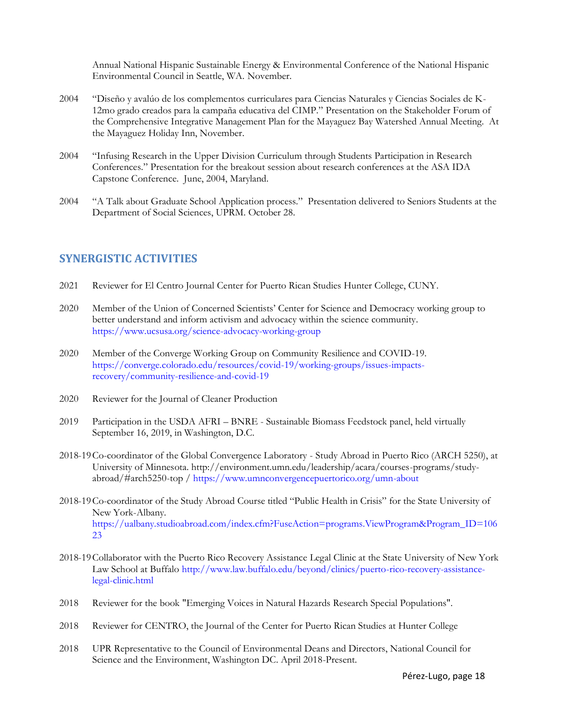Annual National Hispanic Sustainable Energy & Environmental Conference of the National Hispanic Environmental Council in Seattle, WA. November.

- 2004 "Diseño y avalúo de los complementos curriculares para Ciencias Naturales y Ciencias Sociales de K-12mo grado creados para la campaña educativa del CIMP." Presentation on the Stakeholder Forum of the Comprehensive Integrative Management Plan for the Mayaguez Bay Watershed Annual Meeting. At the Mayaguez Holiday Inn, November.
- 2004 "Infusing Research in the Upper Division Curriculum through Students Participation in Research Conferences." Presentation for the breakout session about research conferences at the ASA IDA Capstone Conference. June, 2004, Maryland.
- 2004 "A Talk about Graduate School Application process." Presentation delivered to Seniors Students at the Department of Social Sciences, UPRM. October 28.

### **SYNERGISTIC ACTIVITIES**

- 2021 Reviewer for El Centro Journal Center for Puerto Rican Studies Hunter College, CUNY.
- 2020 Member of the Union of Concerned Scientists' Center for Science and Democracy working group to better understand and inform activism and advocacy within the science community. <https://www.ucsusa.org/science-advocacy-working-group>
- 2020 Member of the Converge Working Group on Community Resilience and COVID-19. [https://converge.colorado.edu/resources/covid-19/working-groups/issues-impacts](https://converge.colorado.edu/resources/covid-19/working-groups/issues-impacts-recovery/community-resilience-and-covid-19)[recovery/community-resilience-and-covid-19](https://converge.colorado.edu/resources/covid-19/working-groups/issues-impacts-recovery/community-resilience-and-covid-19)
- 2020 Reviewer for the Journal of Cleaner Production
- 2019 Participation in the USDA AFRI BNRE Sustainable Biomass Feedstock panel, held virtually September 16, 2019, in Washington, D.C.
- 2018-19Co-coordinator of the Global Convergence Laboratory Study Abroad in Puerto Rico (ARCH 5250), at University of Minnesota. http://environment.umn.edu/leadership/acara/courses-programs/studyabroad/#arch5250-top /<https://www.umnconvergencepuertorico.org/umn-about>
- 2018-19Co-coordinator of the Study Abroad Course titled "Public Health in Crisis" for the State University of New York-Albany. [https://ualbany.studioabroad.com/index.cfm?FuseAction=programs.ViewProgram&Program\\_ID=106](https://ualbany.studioabroad.com/index.cfm?FuseAction=programs.ViewProgram&Program_ID=10623) [23](https://ualbany.studioabroad.com/index.cfm?FuseAction=programs.ViewProgram&Program_ID=10623)
- 2018-19Collaborator with the Puerto Rico Recovery Assistance Legal Clinic at the State University of New York Law School at Buffalo [http://www.law.buffalo.edu/beyond/clinics/puerto-rico-recovery-assistance](http://www.law.buffalo.edu/beyond/clinics/puerto-rico-recovery-assistance-legal-clinic.html)[legal-clinic.html](http://www.law.buffalo.edu/beyond/clinics/puerto-rico-recovery-assistance-legal-clinic.html)
- 2018 Reviewer for the book "Emerging Voices in Natural Hazards Research Special Populations".
- 2018 Reviewer for CENTRO, the Journal of the Center for Puerto Rican Studies at Hunter College
- 2018 UPR Representative to the Council of Environmental Deans and Directors, National Council for Science and the Environment, Washington DC. April 2018-Present.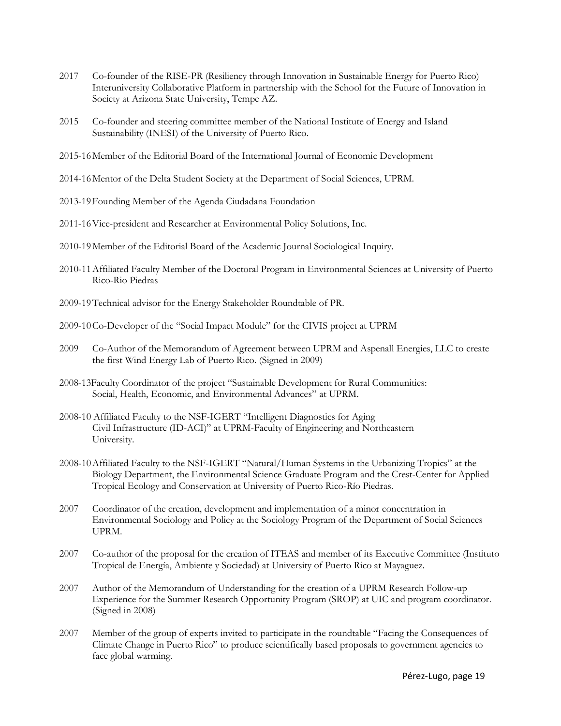- 2017 Co-founder of the RISE-PR (Resiliency through Innovation in Sustainable Energy for Puerto Rico) Interuniversity Collaborative Platform in partnership with the School for the Future of Innovation in Society at Arizona State University, Tempe AZ.
- 2015 Co-founder and steering committee member of the National Institute of Energy and Island Sustainability (INESI) of the University of Puerto Rico.
- 2015-16Member of the Editorial Board of the International Journal of Economic Development
- 2014-16Mentor of the Delta Student Society at the Department of Social Sciences, UPRM.
- 2013-19Founding Member of the Agenda Ciudadana Foundation
- 2011-16Vice-president and Researcher at Environmental Policy Solutions, Inc.
- 2010-19Member of the Editorial Board of the Academic Journal Sociological Inquiry.
- 2010-11Affiliated Faculty Member of the Doctoral Program in Environmental Sciences at University of Puerto Rico-Rio Piedras
- 2009-19Technical advisor for the Energy Stakeholder Roundtable of PR.
- 2009-10Co-Developer of the "Social Impact Module" for the CIVIS project at UPRM
- 2009 Co-Author of the Memorandum of Agreement between UPRM and Aspenall Energies, LLC to create the first Wind Energy Lab of Puerto Rico. (Signed in 2009)
- 2008-13Faculty Coordinator of the project "Sustainable Development for Rural Communities: Social, Health, Economic, and Environmental Advances" at UPRM.
- 2008-10 Affiliated Faculty to the NSF-IGERT "Intelligent Diagnostics for Aging Civil Infrastructure (ID-ACI)" at UPRM-Faculty of Engineering and Northeastern University.
- 2008-10Affiliated Faculty to the NSF-IGERT "Natural/Human Systems in the Urbanizing Tropics" at the Biology Department, the Environmental Science Graduate Program and the Crest-Center for Applied Tropical Ecology and Conservation at University of Puerto Rico-Río Piedras.
- 2007 Coordinator of the creation, development and implementation of a minor concentration in Environmental Sociology and Policy at the Sociology Program of the Department of Social Sciences UPRM.
- 2007 Co-author of the proposal for the creation of ITEAS and member of its Executive Committee (Instituto Tropical de Energía, Ambiente y Sociedad) at University of Puerto Rico at Mayaguez.
- 2007 Author of the Memorandum of Understanding for the creation of a UPRM Research Follow-up Experience for the Summer Research Opportunity Program (SROP) at UIC and program coordinator. (Signed in 2008)
- 2007 Member of the group of experts invited to participate in the roundtable "Facing the Consequences of Climate Change in Puerto Rico" to produce scientifically based proposals to government agencies to face global warming.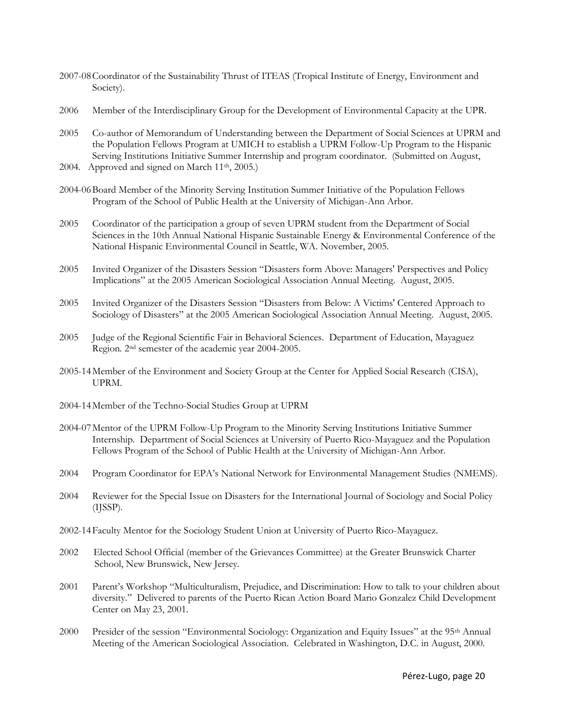- 2007-08Coordinator of the Sustainability Thrust of ITEAS (Tropical Institute of Energy, Environment and Society).
- 2006 Member of the Interdisciplinary Group for the Development of Environmental Capacity at the UPR.
- 2005 Co-author of Memorandum of Understanding between the Department of Social Sciences at UPRM and the Population Fellows Program at UMICH to establish a UPRM Follow-Up Program to the Hispanic Serving Institutions Initiative Summer Internship and program coordinator. (Submitted on August,
- 2004. Approved and signed on March 11<sup>th</sup>, 2005.)
- 2004-06Board Member of the Minority Serving Institution Summer Initiative of the Population Fellows Program of the School of Public Health at the University of Michigan-Ann Arbor.
- 2005 Coordinator of the participation a group of seven UPRM student from the Department of Social Sciences in the 10th Annual National Hispanic Sustainable Energy & Environmental Conference of the National Hispanic Environmental Council in Seattle, WA. November, 2005.
- 2005 Invited Organizer of the Disasters Session "[Disasters form Above: Managers' Perspectives and Policy](http://convention2.allacademic.com/index.php?click_key=1&session_id=7718&cmd=Search+Load+Session&PHPSESSID=1557cec3baccd33fe690ae404d4b420b)  [Implications](http://convention2.allacademic.com/index.php?click_key=1&session_id=7718&cmd=Search+Load+Session&PHPSESSID=1557cec3baccd33fe690ae404d4b420b)" at the 2005 American Sociological Association Annual Meeting. August, 2005.
- 2005 Invited Organizer of the Disasters Session "[Disasters from Below: A Victims' Centered Approach to](http://convention2.allacademic.com/index.php?click_key=1&session_id=7719&cmd=Search+Load+Session&PHPSESSID=1557cec3baccd33fe690ae404d4b420b)  [Sociology of Disasters](http://convention2.allacademic.com/index.php?click_key=1&session_id=7719&cmd=Search+Load+Session&PHPSESSID=1557cec3baccd33fe690ae404d4b420b)" at the 2005 American Sociological Association Annual Meeting. August, 2005.
- 2005 Judge of the Regional Scientific Fair in Behavioral Sciences. Department of Education, Mayaguez Region. 2nd semester of the academic year 2004-2005.
- 2005-14Member of the Environment and Society Group at the Center for Applied Social Research (CISA), UPRM.
- 2004-14Member of the Techno-Social Studies Group at UPRM
- 2004-07Mentor of the UPRM Follow-Up Program to the Minority Serving Institutions Initiative Summer Internship. Department of Social Sciences at University of Puerto Rico-Mayaguez and the Population Fellows Program of the School of Public Health at the University of Michigan-Ann Arbor.
- 2004 Program Coordinator for EPA's National Network for Environmental Management Studies (NMEMS).
- 2004 Reviewer for the Special Issue on Disasters for the International Journal of Sociology and Social Policy (IJSSP).
- 2002-14Faculty Mentor for the Sociology Student Union at University of Puerto Rico-Mayaguez.
- 2002 Elected School Official (member of the Grievances Committee) at the Greater Brunswick Charter School, New Brunswick, New Jersey.
- 2001 Parent's Workshop "Multiculturalism, Prejudice, and Discrimination: How to talk to your children about diversity." Delivered to parents of the Puerto Rican Action Board Mario Gonzalez Child Development Center on May 23, 2001.
- 2000 Presider of the session "Environmental Sociology: Organization and Equity Issues" at the 95<sup>th</sup> Annual Meeting of the American Sociological Association. Celebrated in Washington, D.C. in August, 2000.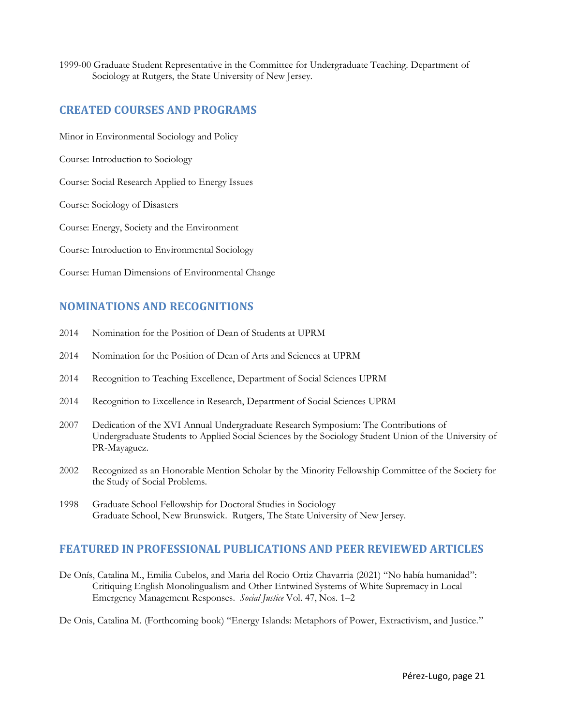1999-00 Graduate Student Representative in the Committee for Undergraduate Teaching. Department of Sociology at Rutgers, the State University of New Jersey.

# **CREATED COURSES AND PROGRAMS**

Minor in Environmental Sociology and Policy

Course: Introduction to Sociology

Course: Social Research Applied to Energy Issues

Course: Sociology of Disasters

Course: Energy, Society and the Environment

Course: Introduction to Environmental Sociology

Course: Human Dimensions of Environmental Change

# **NOMINATIONS AND RECOGNITIONS**

- 2014 Nomination for the Position of Dean of Students at UPRM
- 2014 Nomination for the Position of Dean of Arts and Sciences at UPRM
- 2014 Recognition to Teaching Excellence, Department of Social Sciences UPRM
- 2014 Recognition to Excellence in Research, Department of Social Sciences UPRM
- 2007 Dedication of the XVI Annual Undergraduate Research Symposium: The Contributions of Undergraduate Students to Applied Social Sciences by the Sociology Student Union of the University of PR-Mayaguez.
- 2002 Recognized as an Honorable Mention Scholar by the Minority Fellowship Committee of the Society for the Study of Social Problems.
- 1998 Graduate School Fellowship for Doctoral Studies in Sociology Graduate School, New Brunswick. Rutgers, The State University of New Jersey.

# **FEATURED IN PROFESSIONAL PUBLICATIONS AND PEER REVIEWED ARTICLES**

De Onís, Catalina M., Emilia Cubelos, and Maria del Rocio Ortiz Chavarria (2021) "No había humanidad": Critiquing English Monolingualism and Other Entwined Systems of White Supremacy in Local Emergency Management Responses. *Social Justice* Vol. 47, Nos. 1–2

De Onis, Catalina M. (Forthcoming book) "Energy Islands: Metaphors of Power, Extractivism, and Justice."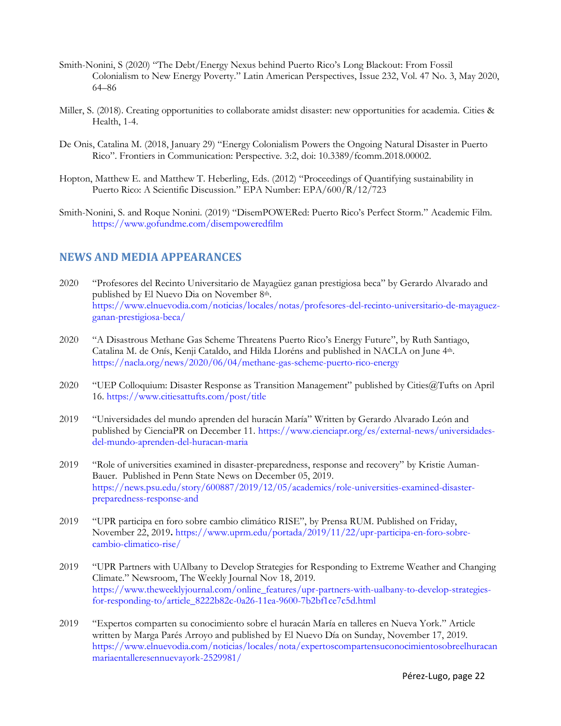- Smith-Nonini, S (2020) "The Debt/Energy Nexus behind Puerto Rico's Long Blackout: From Fossil Colonialism to New Energy Poverty." Latin American Perspectives, Issue 232, Vol. 47 No. 3, May 2020, 64–86
- Miller, S. (2018). Creating opportunities to collaborate amidst disaster: new opportunities for academia. Cities & Health, 1-4.
- De Onis, Catalina M. (2018, January 29) "Energy Colonialism Powers the Ongoing Natural Disaster in Puerto Rico". Frontiers in Communication: Perspective. 3:2, doi: 10.3389/fcomm.2018.00002.
- Hopton, Matthew E. and Matthew T. Heberling, Eds. (2012) "Proceedings of Quantifying sustainability in Puerto Rico: A Scientific Discussion." EPA Number: EPA/600/R/12/723
- Smith-Nonini, S. and Roque Nonini. (2019) "DisemPOWERed: Puerto Rico's Perfect Storm." Academic Film. <https://www.gofundme.com/disempoweredfilm>

### **NEWS AND MEDIA APPEARANCES**

- 2020 "Profesores del Recinto Universitario de Mayagüez ganan prestigiosa beca" by Gerardo Alvarado and published by El Nuevo Dia on November 8th. [https://www.elnuevodia.com/noticias/locales/notas/profesores-del-recinto-universitario-de-mayaguez](https://www.elnuevodia.com/noticias/locales/notas/profesores-del-recinto-universitario-de-mayaguez-ganan-prestigiosa-beca/)[ganan-prestigiosa-beca/](https://www.elnuevodia.com/noticias/locales/notas/profesores-del-recinto-universitario-de-mayaguez-ganan-prestigiosa-beca/)
- 2020 "A Disastrous Methane Gas Scheme Threatens Puerto Rico's Energy Future", by Ruth Santiago, Catalina M. de Onís, Kenji Cataldo, and Hilda Lloréns and published in NACLA on June 4th. <https://nacla.org/news/2020/06/04/methane-gas-scheme-puerto-rico-energy>
- 2020 "UEP Colloquium: Disaster Response as Transition Management" published by Cities@Tufts on April 16.<https://www.citiesattufts.com/post/title>
- 2019 "Universidades del mundo aprenden del huracán María" Written by Gerardo Alvarado León and published by CienciaPR on December 11. [https://www.cienciapr.org/es/external-news/universidades](https://www.cienciapr.org/es/external-news/universidades-del-mundo-aprenden-del-huracan-maria)[del-mundo-aprenden-del-huracan-maria](https://www.cienciapr.org/es/external-news/universidades-del-mundo-aprenden-del-huracan-maria)
- 2019 "Role of universities examined in disaster-preparedness, response and recovery" by Kristie Auman-Bauer. Published in Penn State News on December 05, 2019. [https://news.psu.edu/story/600887/2019/12/05/academics/role-universities-examined-disaster](https://news.psu.edu/story/600887/2019/12/05/academics/role-universities-examined-disaster-preparedness-response-and)[preparedness-response-and](https://news.psu.edu/story/600887/2019/12/05/academics/role-universities-examined-disaster-preparedness-response-and)
- 2019 "UPR participa en foro sobre cambio climático RISE", by Prensa RUM. Published on Friday, November 22, 2019**.** [https://www.uprm.edu/portada/2019/11/22/upr-participa-en-foro-sobre](https://www.uprm.edu/portada/2019/11/22/upr-participa-en-foro-sobre-cambio-climatico-rise/)[cambio-climatico-rise/](https://www.uprm.edu/portada/2019/11/22/upr-participa-en-foro-sobre-cambio-climatico-rise/)
- 2019 "UPR Partners with UAlbany to Develop Strategies for Responding to Extreme Weather and Changing Climate." Newsroom, The Weekly Journal Nov 18, 2019. [https://www.theweeklyjournal.com/online\\_features/upr-partners-with-ualbany-to-develop-strategies](https://www.theweeklyjournal.com/online_features/upr-partners-with-ualbany-to-develop-strategies-for-responding-to/article_8222b82c-0a26-11ea-9600-7b2bf1ce7c5d.html)[for-responding-to/article\\_8222b82c-0a26-11ea-9600-7b2bf1ce7c5d.html](https://www.theweeklyjournal.com/online_features/upr-partners-with-ualbany-to-develop-strategies-for-responding-to/article_8222b82c-0a26-11ea-9600-7b2bf1ce7c5d.html)
- 2019 "Expertos comparten su conocimiento sobre el huracán María en talleres en Nueva York." Article written by Marga Parés Arroyo and published by El Nuevo Día on Sunday, November 17, 2019. [https://www.elnuevodia.com/noticias/locales/nota/expertoscompartensuconocimientosobreelhuracan](https://www.elnuevodia.com/noticias/locales/nota/expertoscompartensuconocimientosobreelhuracanmariaentalleresennuevayork-2529981/) [mariaentalleresennuevayork-2529981/](https://www.elnuevodia.com/noticias/locales/nota/expertoscompartensuconocimientosobreelhuracanmariaentalleresennuevayork-2529981/)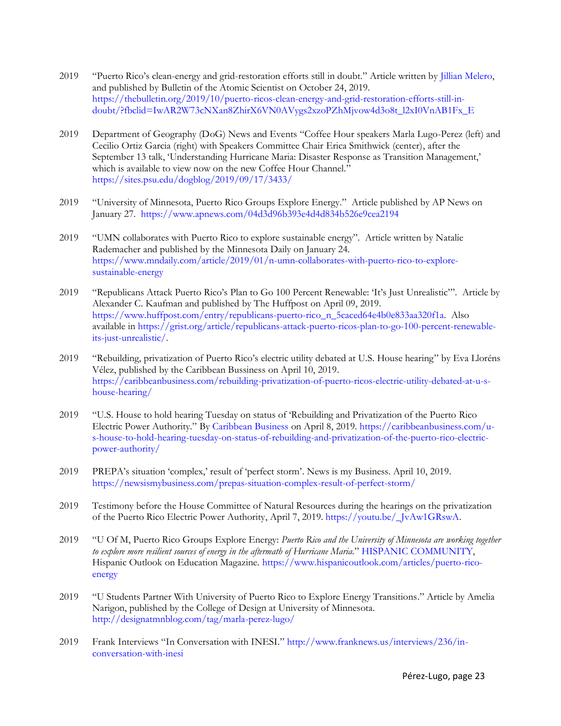- 2019 "Puerto Rico's clean-energy and grid-restoration efforts still in doubt." Article written by [Jillian Melero,](https://thebulletin.org/biography/jillian-melero/)  and published by Bulletin of the Atomic Scientist on October 24, 2019. [https://thebulletin.org/2019/10/puerto-ricos-clean-energy-and-grid-restoration-efforts-still-in](https://thebulletin.org/2019/10/puerto-ricos-clean-energy-and-grid-restoration-efforts-still-in-doubt/?fbclid=IwAR2W73cNXan8ZhirX6VN0AVygs2xzoPZhMjvow4d3o8t_l2xI0VnAB1Fx_E)[doubt/?fbclid=IwAR2W73cNXan8ZhirX6VN0AVygs2xzoPZhMjvow4d3o8t\\_l2xI0VnAB1Fx\\_E](https://thebulletin.org/2019/10/puerto-ricos-clean-energy-and-grid-restoration-efforts-still-in-doubt/?fbclid=IwAR2W73cNXan8ZhirX6VN0AVygs2xzoPZhMjvow4d3o8t_l2xI0VnAB1Fx_E)
- 2019 Department of Geography (DoG) News and Events "Coffee Hour speakers Marla Lugo-Perez (left) and Cecilio Ortiz Garcia (right) with Speakers Committee Chair Erica Smithwick (center), after the September 13 talk, 'Understanding Hurricane Maria: Disaster Response as Transition Management,' which is available to view now on the new Coffee Hour Channel." <https://sites.psu.edu/dogblog/2019/09/17/3433/>
- 2019 "University of Minnesota, Puerto Rico Groups Explore Energy." Article published by AP News on January 27.<https://www.apnews.com/04d3d96b393e4d4d834b526e9cea2194>
- 2019 "UMN collaborates with Puerto Rico to explore sustainable energy". Article written by Natalie Rademacher and published by the Minnesota Daily on January 24. [https://www.mndaily.com/article/2019/01/n-umn-collaborates-with-puerto-rico-to-explore](https://www.mndaily.com/article/2019/01/n-umn-collaborates-with-puerto-rico-to-explore-sustainable-energy)[sustainable-energy](https://www.mndaily.com/article/2019/01/n-umn-collaborates-with-puerto-rico-to-explore-sustainable-energy)
- 2019 "Republicans Attack Puerto Rico's Plan to Go 100 Percent Renewable: 'It's Just Unrealistic'". Article by [Alexander C. Kaufman](https://www.huffpost.com/author/alexander-c-kaufman) and published by The Huffpost on April 09, 2019. [https://www.huffpost.com/entry/republicans-puerto-rico\\_n\\_5caced64e4b0e833aa320f1a.](https://www.huffpost.com/entry/republicans-puerto-rico_n_5caced64e4b0e833aa320f1a) Also available in [https://grist.org/article/republicans-attack-puerto-ricos-plan-to-go-100-percent-renewable](https://grist.org/article/republicans-attack-puerto-ricos-plan-to-go-100-percent-renewable-its-just-unrealistic/)[its-just-unrealistic/.](https://grist.org/article/republicans-attack-puerto-ricos-plan-to-go-100-percent-renewable-its-just-unrealistic/)
- 2019 "Rebuilding, privatization of Puerto Rico's electric utility debated at U.S. House hearing" by Eva Lloréns Vélez, published by the Caribbean Bussiness on April 10, 2019. [https://caribbeanbusiness.com/rebuilding-privatization-of-puerto-ricos-electric-utility-debated-at-u-s](https://caribbeanbusiness.com/rebuilding-privatization-of-puerto-ricos-electric-utility-debated-at-u-s-house-hearing/)[house-hearing/](https://caribbeanbusiness.com/rebuilding-privatization-of-puerto-ricos-electric-utility-debated-at-u-s-house-hearing/)
- 2019 "U.S. House to hold hearing Tuesday on status of 'Rebuilding and Privatization of the Puerto Rico Electric Power Authority." By [Caribbean Business](https://caribbeanbusiness.com/author/cb-admin/) on April 8, 2019. [https://caribbeanbusiness.com/u](https://caribbeanbusiness.com/u-s-house-to-hold-hearing-tuesday-on-status-of-rebuilding-and-privatization-of-the-puerto-rico-electric-power-authority/)[s-house-to-hold-hearing-tuesday-on-status-of-rebuilding-and-privatization-of-the-puerto-rico-electric](https://caribbeanbusiness.com/u-s-house-to-hold-hearing-tuesday-on-status-of-rebuilding-and-privatization-of-the-puerto-rico-electric-power-authority/)[power-authority/](https://caribbeanbusiness.com/u-s-house-to-hold-hearing-tuesday-on-status-of-rebuilding-and-privatization-of-the-puerto-rico-electric-power-authority/)
- 2019 PREPA's situation 'complex,' result of 'perfect storm'. News is my Business. April 10, 2019. <https://newsismybusiness.com/prepas-situation-complex-result-of-perfect-storm/>
- 2019 Testimony before the House Committee of Natural Resources during the hearings on the privatization of the Puerto Rico Electric Power Authority, April 7, 2019. [https://youtu.be/\\_JvAw1GRswA.](https://youtu.be/_JvAw1GRswA)
- 2019 "U Of M, Puerto Rico Groups Explore Energy: *Puerto Rico and the University of Minnesota are working together to explore more resilient sources of energy in the aftermath of Hurricane Maria.*" [HISPANIC COMMUNITY,](https://www.hispanicoutlook.com/categories/Hispanic-Community) Hispanic Outlook on Education Magazine. [https://www.hispanicoutlook.com/articles/puerto-rico](https://www.hispanicoutlook.com/articles/puerto-rico-energy)[energy](https://www.hispanicoutlook.com/articles/puerto-rico-energy)
- 2019 "U Students Partner With University of Puerto Rico to Explore Energy Transitions." Article by Amelia Narigon, published by the College of Design at University of Minnesota. <http://designatmnblog.com/tag/marla-perez-lugo/>
- 2019 Frank Interviews "In Conversation with INESI." [http://www.franknews.us/interviews/236/in](http://www.franknews.us/interviews/236/in-conversation-with-inesi)[conversation-with-inesi](http://www.franknews.us/interviews/236/in-conversation-with-inesi)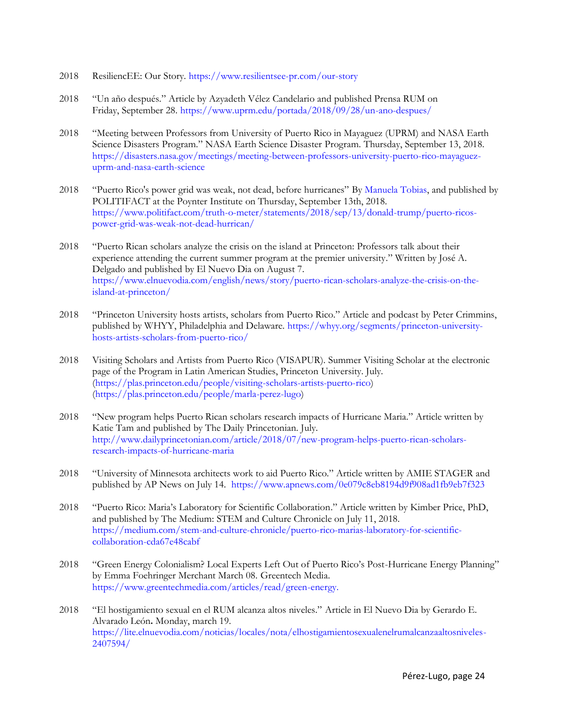- 2018 ResiliencEE: Our Story.<https://www.resilientsee-pr.com/our-story>
- 2018 "Un año después." Article by Azyadeth Vélez Candelario and published Prensa RUM on Friday, September 28.<https://www.uprm.edu/portada/2018/09/28/un-ano-despues/>
- 2018 "Meeting between Professors from University of Puerto Rico in Mayaguez (UPRM) and NASA Earth Science Disasters Program." NASA Earth Science Disaster Program. Thursday, September 13, 2018. [https://disasters.nasa.gov/meetings/meeting-between-professors-university-puerto-rico-mayaguez](https://disasters.nasa.gov/meetings/meeting-between-professors-university-puerto-rico-mayaguez-uprm-and-nasa-earth-science)[uprm-and-nasa-earth-science](https://disasters.nasa.gov/meetings/meeting-between-professors-university-puerto-rico-mayaguez-uprm-and-nasa-earth-science)
- 2018 "Puerto Rico's power grid was weak, not dead, before hurricanes" By [Manuela Tobias,](https://www.politifact.com/truth-o-meter/staff/manuela-tobias/) and published by POLITIFACT at the Poynter Institute on Thursday, September 13th, 2018. [https://www.politifact.com/truth-o-meter/statements/2018/sep/13/donald-trump/puerto-ricos](https://www.politifact.com/truth-o-meter/statements/2018/sep/13/donald-trump/puerto-ricos-power-grid-was-weak-not-dead-hurrican/)[power-grid-was-weak-not-dead-hurrican/](https://www.politifact.com/truth-o-meter/statements/2018/sep/13/donald-trump/puerto-ricos-power-grid-was-weak-not-dead-hurrican/)
- 2018 "Puerto Rican scholars analyze the crisis on the island at Princeton: Professors talk about their experience attending the current summer program at the premier university." Written by José A. Delgado and published by El Nuevo Dia on August 7. [https://www.elnuevodia.com/english/news/story/puerto-rican-scholars-analyze-the-crisis-on-the](https://www.elnuevodia.com/english/news/story/puerto-rican-scholars-analyze-the-crisis-on-the-island-at-princeton/)[island-at-princeton/](https://www.elnuevodia.com/english/news/story/puerto-rican-scholars-analyze-the-crisis-on-the-island-at-princeton/)
- 2018 "Princeton University hosts artists, scholars from Puerto Rico." Article and podcast by Peter Crimmins, published by WHYY, Philadelphia and Delaware. [https://whyy.org/segments/princeton-university](https://whyy.org/segments/princeton-university-hosts-artists-scholars-from-puerto-rico/)[hosts-artists-scholars-from-puerto-rico/](https://whyy.org/segments/princeton-university-hosts-artists-scholars-from-puerto-rico/)
- 2018 Visiting Scholars and Artists from Puerto Rico (VISAPUR). Summer Visiting Scholar at the electronic page of the Program in Latin American Studies, Princeton University. July. [\(https://plas.princeton.edu/people/visiting-scholars-artists-puerto-rico\)](https://plas.princeton.edu/people/visiting-scholars-artists-puerto-rico) [\(https://plas.princeton.edu/people/marla-perez-lugo\)](https://plas.princeton.edu/people/marla-perez-lugo)
- 2018 "New program helps Puerto Rican scholars research impacts of Hurricane Maria." Article written by Katie Tam and published by The Daily Princetonian. July. [http://www.dailyprincetonian.com/article/2018/07/new-program-helps-puerto-rican-scholars](http://www.dailyprincetonian.com/article/2018/07/new-program-helps-puerto-rican-scholars-research-impacts-of-hurricane-maria)[research-impacts-of-hurricane-maria](http://www.dailyprincetonian.com/article/2018/07/new-program-helps-puerto-rican-scholars-research-impacts-of-hurricane-maria)
- 2018 "University of Minnesota architects work to aid Puerto Rico." Article written by AMIE STAGER and published by AP News on July 14. <https://www.apnews.com/0e079c8eb8194d9f908ad1fb9eb7f323>
- 2018 "Puerto Rico: Maria's Laboratory for Scientific Collaboration." Article written by Kimber Price, PhD, and published by The Medium: STEM and Culture Chronicle on July 11, 2018. [https://medium.com/stem-and-culture-chronicle/puerto-rico-marias-laboratory-for-scientific](https://medium.com/stem-and-culture-chronicle/puerto-rico-marias-laboratory-for-scientific-collaboration-cda67e48cabf)[collaboration-cda67e48cabf](https://medium.com/stem-and-culture-chronicle/puerto-rico-marias-laboratory-for-scientific-collaboration-cda67e48cabf)
- 2018 "Green Energy Colonialism? Local Experts Left Out of Puerto Rico's Post-Hurricane Energy Planning" by Emma Foehringer Merchant March 08. Greentech Media. [https://www.greentechmedia.com/articles/read/green-energy.](https://www.greentechmedia.com/articles/read/green-energy)
- 2018 "El hostigamiento sexual en el RUM alcanza altos niveles." Article in El Nuevo Dia by Gerardo E. Alvarado León**.** Monday, march 19. [https://lite.elnuevodia.com/noticias/locales/nota/elhostigamientosexualenelrumalcanzaaltosniveles-](https://lite.elnuevodia.com/noticias/locales/nota/elhostigamientosexualenelrumalcanzaaltosniveles-2407594/)[2407594/](https://lite.elnuevodia.com/noticias/locales/nota/elhostigamientosexualenelrumalcanzaaltosniveles-2407594/)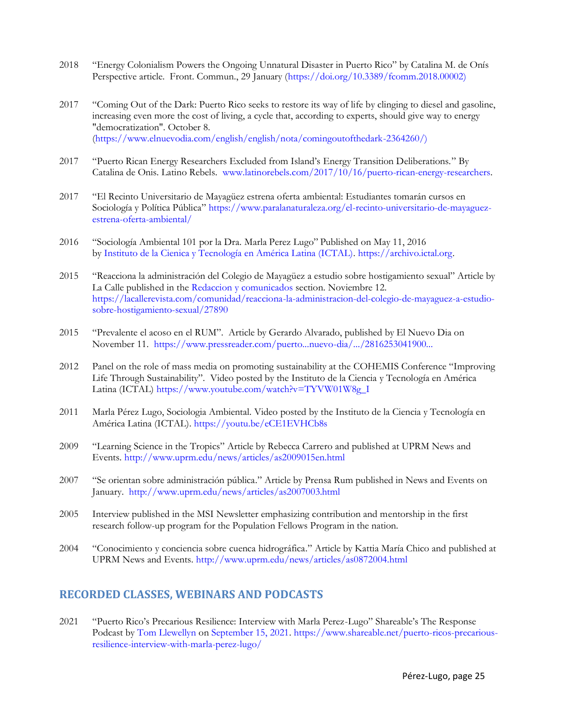- 2018 "Energy Colonialism Powers the Ongoing Unnatural Disaster in Puerto Rico" by Catalina M. de Onís Perspective article. Front. Commun., 29 January [\(https://doi.org/10.3389/fcomm.2018.00002\)](https://doi.org/10.3389/fcomm.2018.00002))
- 2017 "Coming Out of the Dark: Puerto Rico seeks to restore its way of life by clinging to diesel and gasoline, increasing even more the cost of living, a cycle that, according to experts, should give way to energy "democratization". October 8. [\(https://www.elnuevodia.com/english/english/nota/comingoutofthedark-2364260/\)](https://www.elnuevodia.com/english/english/nota/comingoutofthedark-2364260/))
- 2017 "Puerto Rican Energy Researchers Excluded from Island's Energy Transition Deliberations." By Catalina de Onis. Latino Rebels. [www.latinorebels.com/2017/10/16/puerto-rican-energy-researchers.](http://www.latinorebels.com/2017/10/16/puerto-rican-energy-researchers)
- 2017 "El Recinto Universitario de Mayagüez estrena oferta ambiental: Estudiantes tomarán cursos en Sociología y Política Pública" [https://www.paralanaturaleza.org/el-recinto-universitario-de-mayaguez](https://www.paralanaturaleza.org/el-recinto-universitario-de-mayaguez-estrena-oferta-ambiental/)[estrena-oferta-ambiental/](https://www.paralanaturaleza.org/el-recinto-universitario-de-mayaguez-estrena-oferta-ambiental/)
- 2016 "Sociología Ambiental 101 por la Dra. Marla Perez Lugo" Published on May 11, 2016 by [Instituto de la Cienica y Tecnología en América Latina \(ICTAL\).](https://www.youtube.com/channel/UC1d_ts5txFC5Y8LOpjbgI4w) [https://archivo.ictal.org.](https://www.youtube.com/redirect?redir_token=Lv9EhXkuRsSkH91zAP13lLRRl_B8MTU1OTkxODY5N0AxNTU5ODMyMjk3&q=https%3A%2F%2Farchivo.ictal.org&event=video_description&v=eCE1EVHCb8s)
- 2015 "Reacciona la administración del Colegio de Mayagüez a estudio sobre hostigamiento sexual" Article by La Calle published in the [Redaccion y comunicados](https://lacallerevista.com/author/redaccion) section. Noviembre 12. [https://lacallerevista.com/comunidad/reacciona-la-administracion-del-colegio-de-mayaguez-a-estudio](https://lacallerevista.com/comunidad/reacciona-la-administracion-del-colegio-de-mayaguez-a-estudio-sobre-hostigamiento-sexual/27890)[sobre-hostigamiento-sexual/27890](https://lacallerevista.com/comunidad/reacciona-la-administracion-del-colegio-de-mayaguez-a-estudio-sobre-hostigamiento-sexual/27890)
- 2015 "Prevalente el acoso en el RUM". Article by Gerardo Alvarado, published by El Nuevo Dia on November 11. [https://www.pressreader.com/puerto...nuevo-dia/.../2816253041900...](https://www.pressreader.com/puerto-rico/el-nuevo-dia/20151111/281625304190002)
- 2012 Panel on the role of mass media on promoting sustainability at the COHEMIS Conference "Improving Life Through Sustainability". Video posted by the Instituto de la Ciencia y Tecnología en América Latina (ICTAL) [https://www.youtube.com/watch?v=TYVW01W8g\\_I](https://www.youtube.com/watch?v=TYVW01W8g_I)
- 2011 Marla Pérez Lugo, Sociologia Ambiental. Video posted by the Instituto de la Ciencia y Tecnología en América Latina (ICTAL).<https://youtu.be/eCE1EVHCb8s>
- 2009 "Learning Science in the Tropics" Article by Rebecca Carrero and published at UPRM News and Events.<http://www.uprm.edu/news/articles/as2009015en.html>
- 2007 "Se orientan sobre administración pública." Article by Prensa Rum published in News and Events on January.<http://www.uprm.edu/news/articles/as2007003.html>
- 2005 Interview published in the MSI Newsletter emphasizing contribution and mentorship in the first research follow-up program for the Population Fellows Program in the nation.
- 2004 "Conocimiento y conciencia sobre cuenca hidrográfica." Article by Kattia María Chico and published at UPRM News and Events.<http://www.uprm.edu/news/articles/as0872004.html>

# **RECORDED CLASSES, WEBINARS AND PODCASTS**

2021 "Puerto Rico's Precarious Resilience: Interview with Marla Perez-Lugo" Shareable's The Response Podcast by [Tom Llewellyn](https://www.shareable.net/author/tom-llewellyn/) on [September 15, 2021.](https://www.shareable.net/2021/09/) [https://www.shareable.net/puerto-ricos-precarious](https://www.shareable.net/puerto-ricos-precarious-resilience-interview-with-marla-perez-lugo/)[resilience-interview-with-marla-perez-lugo/](https://www.shareable.net/puerto-ricos-precarious-resilience-interview-with-marla-perez-lugo/)